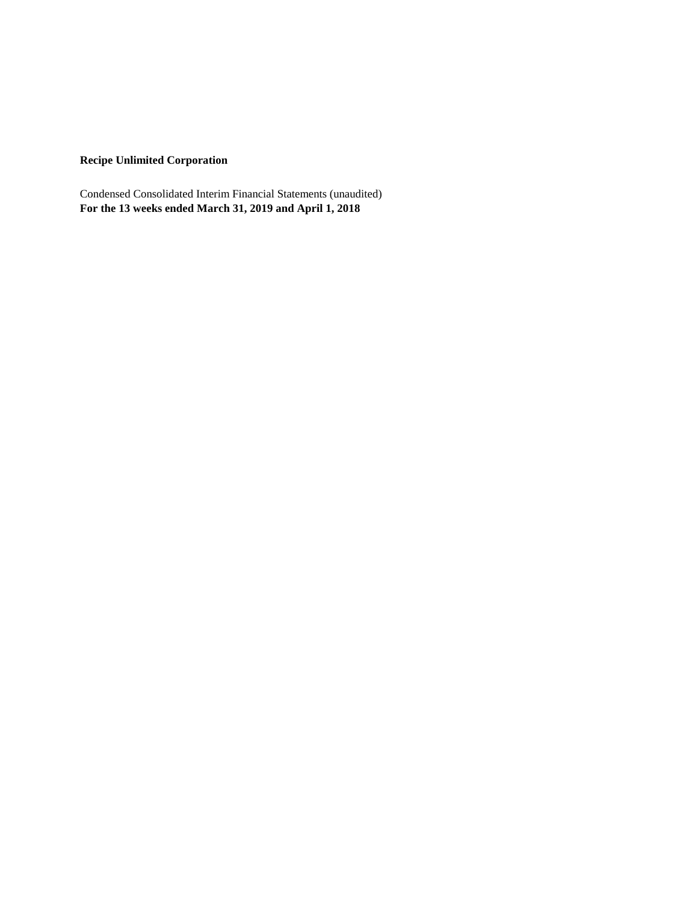# **Recipe Unlimited Corporation**

Condensed Consolidated Interim Financial Statements (unaudited) **For the 13 weeks ended March 31, 2019 and April 1, 2018**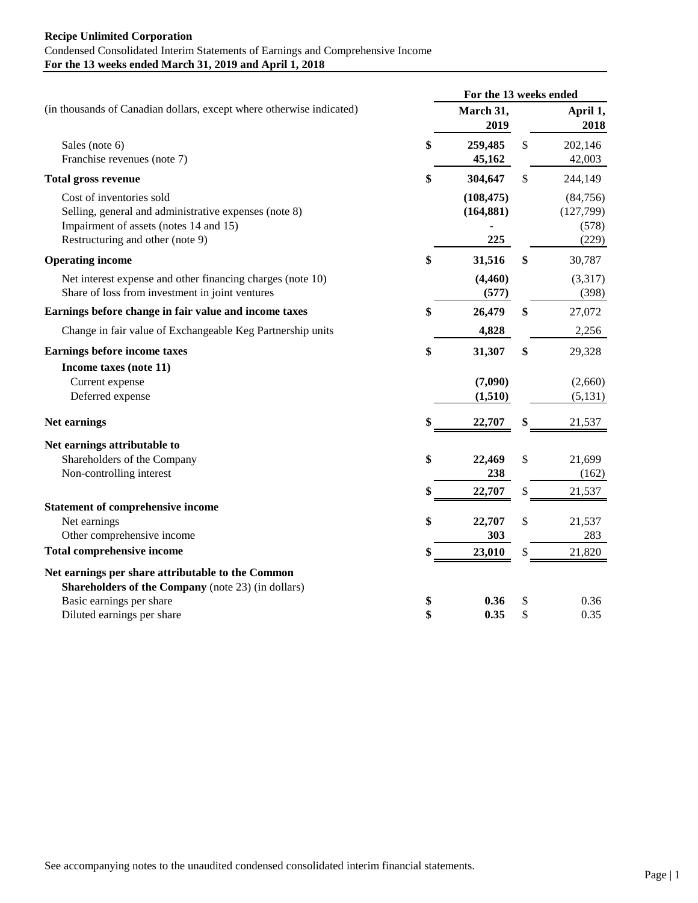## **Recipe Unlimited Corporation** Condensed Consolidated Interim Statements of Earnings and Comprehensive Income **For the 13 weeks ended March 31, 2019 and April 1, 2018**

|                                                                                                                                                                 | For the 13 weeks ended          |               |                                          |
|-----------------------------------------------------------------------------------------------------------------------------------------------------------------|---------------------------------|---------------|------------------------------------------|
| (in thousands of Canadian dollars, except where otherwise indicated)                                                                                            | March 31,<br>2019               |               | April 1,<br>2018                         |
| Sales (note 6)<br>Franchise revenues (note 7)                                                                                                                   | \$<br>259,485<br>45,162         | \$            | 202,146<br>42,003                        |
| <b>Total gross revenue</b>                                                                                                                                      | \$<br>304,647                   | $\mathcal{S}$ | 244,149                                  |
| Cost of inventories sold<br>Selling, general and administrative expenses (note 8)<br>Impairment of assets (notes 14 and 15)<br>Restructuring and other (note 9) | (108, 475)<br>(164, 881)<br>225 |               | (84, 756)<br>(127,799)<br>(578)<br>(229) |
| <b>Operating income</b>                                                                                                                                         | \$<br>31,516                    | \$            | 30,787                                   |
| Net interest expense and other financing charges (note 10)<br>Share of loss from investment in joint ventures                                                   | (4, 460)<br>(577)               |               | (3,317)<br>(398)                         |
| Earnings before change in fair value and income taxes                                                                                                           | \$<br>26,479                    | \$            | 27,072                                   |
| Change in fair value of Exchangeable Keg Partnership units                                                                                                      | 4,828                           |               | 2,256                                    |
| <b>Earnings before income taxes</b>                                                                                                                             | \$<br>31,307                    | \$            | 29,328                                   |
| Income taxes (note 11)                                                                                                                                          |                                 |               |                                          |
| Current expense                                                                                                                                                 | (7,090)                         |               | (2,660)                                  |
| Deferred expense                                                                                                                                                | (1,510)                         |               | (5, 131)                                 |
| Net earnings                                                                                                                                                    | \$<br>22,707                    | \$            | 21,537                                   |
| Net earnings attributable to                                                                                                                                    |                                 |               |                                          |
| Shareholders of the Company                                                                                                                                     | \$<br>22,469                    | \$            | 21,699                                   |
| Non-controlling interest                                                                                                                                        | 238                             |               | (162)                                    |
|                                                                                                                                                                 | 22,707                          | \$            | 21,537                                   |
| <b>Statement of comprehensive income</b>                                                                                                                        |                                 |               |                                          |
| Net earnings                                                                                                                                                    | \$<br>22,707                    | \$            | 21,537                                   |
| Other comprehensive income                                                                                                                                      | 303                             |               | 283                                      |
| <b>Total comprehensive income</b>                                                                                                                               | \$<br>23,010                    | \$            | 21,820                                   |
| Net earnings per share attributable to the Common                                                                                                               |                                 |               |                                          |
| Shareholders of the Company (note 23) (in dollars)                                                                                                              |                                 |               |                                          |
| Basic earnings per share                                                                                                                                        | \$<br>0.36                      | \$            | 0.36                                     |
| Diluted earnings per share                                                                                                                                      | \$<br>0.35                      | \$            | 0.35                                     |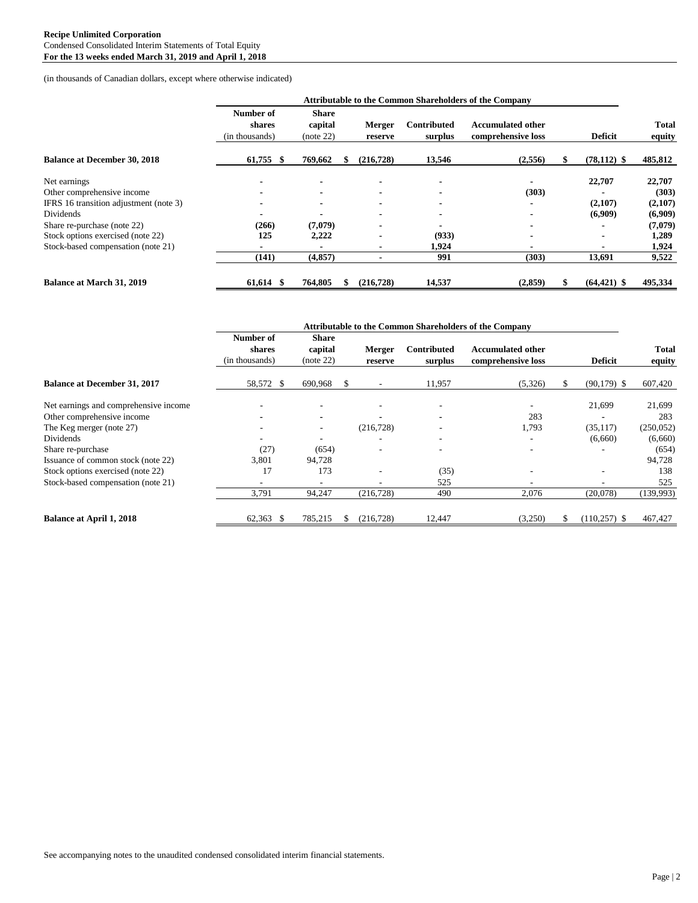(in thousands of Canadian dollars, except where otherwise indicated)

|                                        | <b>Attributable to the Common Shareholders of the Company</b> |                                      |  |                   |                               |                                                |  |                |                        |
|----------------------------------------|---------------------------------------------------------------|--------------------------------------|--|-------------------|-------------------------------|------------------------------------------------|--|----------------|------------------------|
|                                        | Number of<br>shares<br>(in thousands)                         | <b>Share</b><br>capital<br>(note 22) |  | Merger<br>reserve | <b>Contributed</b><br>surplus | <b>Accumulated other</b><br>comprehensive loss |  | <b>Deficit</b> | <b>Total</b><br>equity |
| <b>Balance at December 30, 2018</b>    | 61,755<br>-8                                                  | 769,662                              |  | (216, 728)        | 13,546                        | (2,556)                                        |  | $(78, 112)$ \$ | 485,812                |
| Net earnings                           |                                                               |                                      |  |                   |                               |                                                |  | 22,707         | 22,707                 |
| Other comprehensive income             |                                                               |                                      |  |                   |                               | (303)                                          |  |                | (303)                  |
| IFRS 16 transition adjustment (note 3) |                                                               |                                      |  |                   |                               |                                                |  | (2,107)        | (2,107)                |
| Dividends                              |                                                               |                                      |  |                   |                               |                                                |  | (6,909)        | (6,909)                |
| Share re-purchase (note 22)            | (266)                                                         | (7,079)                              |  |                   |                               |                                                |  |                | (7,079)                |
| Stock options exercised (note 22)      | 125                                                           | 2,222                                |  |                   | (933)                         |                                                |  |                | 1,289                  |
| Stock-based compensation (note 21)     |                                                               |                                      |  |                   | 1,924                         |                                                |  | $\blacksquare$ | 1,924                  |
|                                        | (141)                                                         | (4, 857)                             |  |                   | 991                           | (303)                                          |  | 13,691         | 9,522                  |
| <b>Balance at March 31, 2019</b>       | 61,614 \$                                                     | 764,805                              |  | (216, 728)        | 14,537                        | (2,859)                                        |  | $(64, 421)$ \$ | 495,334                |

|                                       | <b>Attributable to the Common Shareholders of the Company</b> |                               |   |                          |                        |                                                |   |                 |                        |
|---------------------------------------|---------------------------------------------------------------|-------------------------------|---|--------------------------|------------------------|------------------------------------------------|---|-----------------|------------------------|
|                                       | Number of<br>shares<br>(in thousands)                         | Share<br>capital<br>(note 22) |   | Merger<br>reserve        | Contributed<br>surplus | <b>Accumulated other</b><br>comprehensive loss |   | <b>Deficit</b>  | <b>Total</b><br>equity |
| <b>Balance at December 31, 2017</b>   | 58,572 \$                                                     | 690,968                       | S | $\overline{\phantom{a}}$ | 11,957                 | (5,326)                                        |   | $(90, 179)$ \$  | 607,420                |
| Net earnings and comprehensive income |                                                               | ٠                             |   | ٠                        | ۰                      | $\overline{\phantom{a}}$                       |   | 21,699          | 21,699                 |
| Other comprehensive income            |                                                               |                               |   |                          |                        | 283                                            |   |                 | 283                    |
| The Keg merger (note 27)              |                                                               | ۰                             |   | (216, 728)               |                        | 1,793                                          |   | (35, 117)       | (250, 052)             |
| Dividends                             |                                                               |                               |   |                          | ٠                      |                                                |   | (6,660)         | (6,660)                |
| Share re-purchase                     | (27)                                                          | (654)                         |   |                          | ٠                      |                                                |   |                 | (654)                  |
| Issuance of common stock (note 22)    | 3,801                                                         | 94,728                        |   |                          |                        |                                                |   |                 | 94,728                 |
| Stock options exercised (note 22)     | 17                                                            | 173                           |   |                          | (35)                   |                                                |   |                 | 138                    |
| Stock-based compensation (note 21)    |                                                               |                               |   |                          | 525                    |                                                |   |                 | 525                    |
|                                       | 3,791                                                         | 94,247                        |   | (216, 728)               | 490                    | 2,076                                          |   | (20,078)        | (139,993)              |
| <b>Balance at April 1, 2018</b>       | $62,363$ \$                                                   | 785,215                       | S | (216, 728)               | 12,447                 | (3,250)                                        | ж | $(110, 257)$ \$ | 467,427                |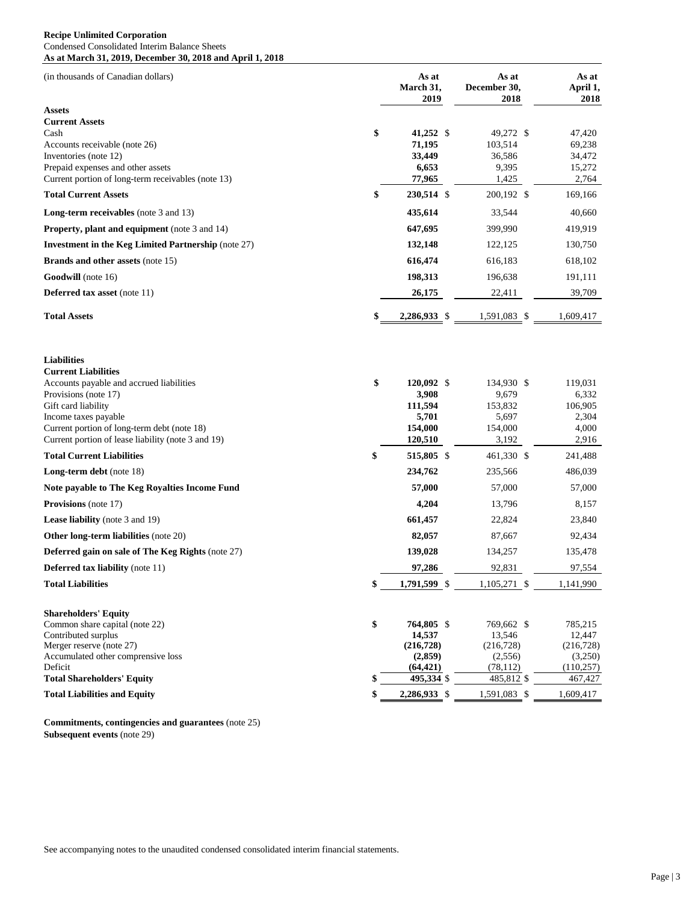#### **Recipe Unlimited Corporation** Condensed Consolidated Interim Balance Sheets **As at March 31, 2019, December 30, 2018 and April 1, 2018**

| (in thousands of Canadian dollars)                                                                                                                                                                                                                                                                                                                                                                |          | As at<br>March 31,                                                                                      | As at<br>December 30,                                                                                  | As at<br>April 1,                                                                                |
|---------------------------------------------------------------------------------------------------------------------------------------------------------------------------------------------------------------------------------------------------------------------------------------------------------------------------------------------------------------------------------------------------|----------|---------------------------------------------------------------------------------------------------------|--------------------------------------------------------------------------------------------------------|--------------------------------------------------------------------------------------------------|
| Assets<br><b>Current Assets</b><br>Cash<br>Accounts receivable (note 26)<br>Inventories (note 12)<br>Prepaid expenses and other assets<br>Current portion of long-term receivables (note 13)<br><b>Total Current Assets</b><br><b>Long-term receivables</b> (note 3 and 13)<br><b>Property, plant and equipment</b> (note 3 and 14)<br><b>Investment in the Keg Limited Partnership (note 27)</b> | \$<br>\$ | 2019<br>41,252 \$<br>71,195<br>33,449<br>6,653<br>77,965<br>230,514 \$<br>435,614<br>647,695<br>132,148 | 2018<br>49,272 \$<br>103,514<br>36,586<br>9,395<br>1,425<br>200,192 \$<br>33,544<br>399,990<br>122,125 | 2018<br>47,420<br>69,238<br>34,472<br>15,272<br>2,764<br>169,166<br>40,660<br>419,919<br>130,750 |
| <b>Brands and other assets (note 15)</b>                                                                                                                                                                                                                                                                                                                                                          |          | 616,474                                                                                                 | 616,183                                                                                                | 618,102                                                                                          |
| Goodwill (note 16)                                                                                                                                                                                                                                                                                                                                                                                |          | 198,313                                                                                                 | 196,638                                                                                                | 191,111                                                                                          |
| Deferred tax asset (note 11)                                                                                                                                                                                                                                                                                                                                                                      |          | 26,175                                                                                                  | 22,411                                                                                                 | 39,709                                                                                           |
| <b>Total Assets</b>                                                                                                                                                                                                                                                                                                                                                                               | \$       | 2,286,933 \$                                                                                            | 1,591,083 \$                                                                                           | 1,609,417                                                                                        |
| <b>Liabilities</b><br><b>Current Liabilities</b><br>Accounts payable and accrued liabilities<br>Provisions (note 17)<br>Gift card liability<br>Income taxes payable<br>Current portion of long-term debt (note 18)<br>Current portion of lease liability (note 3 and 19)                                                                                                                          | \$       | 120,092 \$<br>3,908<br>111,594<br>5,701<br>154,000<br>120,510                                           | 134,930 \$<br>9,679<br>153,832<br>5,697<br>154,000<br>3,192                                            | 119,031<br>6,332<br>106,905<br>2,304<br>4,000<br>2,916                                           |
| <b>Total Current Liabilities</b>                                                                                                                                                                                                                                                                                                                                                                  | \$       | 515,805 \$                                                                                              | 461,330 \$                                                                                             | 241,488                                                                                          |
| <b>Long-term debt</b> (note 18)                                                                                                                                                                                                                                                                                                                                                                   |          | 234,762                                                                                                 | 235,566                                                                                                | 486,039                                                                                          |
| Note payable to The Keg Royalties Income Fund                                                                                                                                                                                                                                                                                                                                                     |          | 57,000                                                                                                  | 57,000                                                                                                 | 57,000                                                                                           |
| Provisions (note 17)                                                                                                                                                                                                                                                                                                                                                                              |          | 4,204                                                                                                   | 13,796                                                                                                 | 8,157                                                                                            |
| <b>Lease liability</b> (note 3 and 19)                                                                                                                                                                                                                                                                                                                                                            |          | 661,457                                                                                                 | 22,824                                                                                                 | 23,840                                                                                           |
| Other long-term liabilities (note 20)                                                                                                                                                                                                                                                                                                                                                             |          | 82,057                                                                                                  | 87,667                                                                                                 | 92,434                                                                                           |
| Deferred gain on sale of The Keg Rights (note 27)                                                                                                                                                                                                                                                                                                                                                 |          | 139,028                                                                                                 | 134,257                                                                                                | 135,478                                                                                          |
| <b>Deferred tax liability</b> (note 11)                                                                                                                                                                                                                                                                                                                                                           |          | 97,286                                                                                                  | 92,831                                                                                                 | 97,554                                                                                           |
| <b>Total Liabilities</b>                                                                                                                                                                                                                                                                                                                                                                          | \$       | 1,791,599 \$                                                                                            | 1,105,271 \$                                                                                           | 1,141,990                                                                                        |
| <b>Shareholders' Equity</b><br>Common share capital (note 22)<br>Contributed surplus<br>Merger reserve (note 27)<br>Accumulated other comprensive loss<br>Deficit                                                                                                                                                                                                                                 | \$       | 764,805 \$<br>14,537<br>(216, 728)<br>(2,859)<br>(64, 421)                                              | 769,662 \$<br>13,546<br>(216, 728)<br>(2,556)<br>(78, 112)                                             | 785,215<br>12,447<br>(216, 728)<br>(3,250)<br>(110, 257)                                         |
| <b>Total Shareholders' Equity</b>                                                                                                                                                                                                                                                                                                                                                                 | \$       | 495,334 \$                                                                                              | 485,812 \$                                                                                             | 467,427                                                                                          |
| <b>Total Liabilities and Equity</b>                                                                                                                                                                                                                                                                                                                                                               | \$       | 2,286,933 \$                                                                                            | 1,591,083<br>-\$                                                                                       | 1,609,417                                                                                        |

**Commitments, contingencies and guarantees** (note 25) **Subsequent events** (note 29)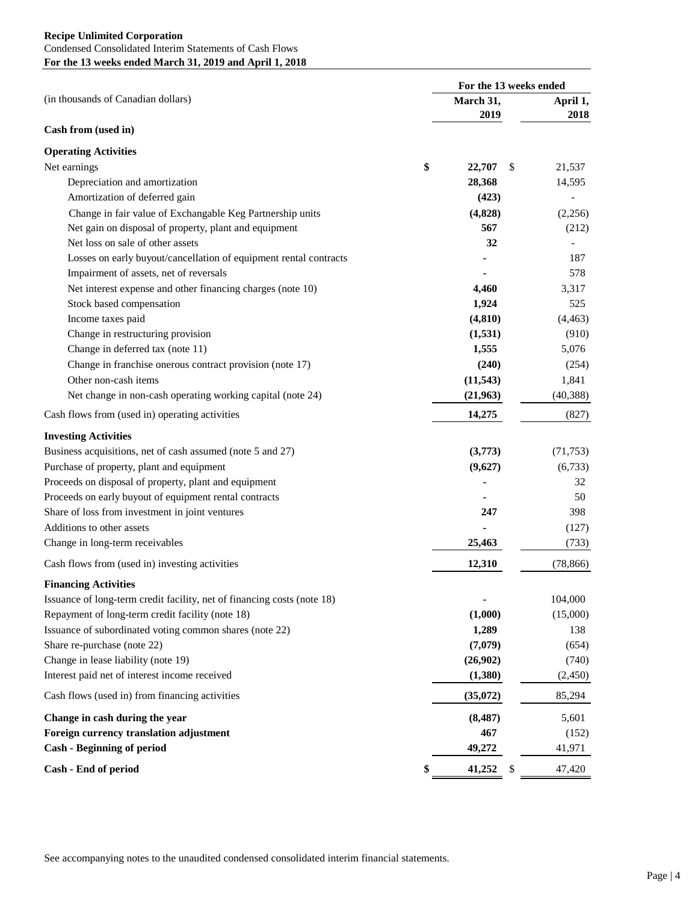|                                                                         | For the 13 weeks ended |                                     |                  |  |  |
|-------------------------------------------------------------------------|------------------------|-------------------------------------|------------------|--|--|
| (in thousands of Canadian dollars)                                      |                        | March 31,<br>2019                   | April 1,<br>2018 |  |  |
| Cash from (used in)                                                     |                        |                                     |                  |  |  |
| <b>Operating Activities</b>                                             |                        |                                     |                  |  |  |
| Net earnings                                                            | \$                     | 22,707<br>\$                        | 21,537           |  |  |
| Depreciation and amortization                                           |                        | 28,368                              | 14,595           |  |  |
| Amortization of deferred gain                                           |                        | (423)                               | $\overline{a}$   |  |  |
| Change in fair value of Exchangable Keg Partnership units               |                        | (4,828)                             | (2,256)          |  |  |
| Net gain on disposal of property, plant and equipment                   |                        | 567                                 | (212)            |  |  |
| Net loss on sale of other assets                                        |                        | 32                                  |                  |  |  |
| Losses on early buyout/cancellation of equipment rental contracts       |                        |                                     | 187              |  |  |
| Impairment of assets, net of reversals                                  |                        |                                     | 578              |  |  |
| Net interest expense and other financing charges (note 10)              |                        | 4,460                               | 3,317            |  |  |
| Stock based compensation                                                |                        | 1,924                               | 525              |  |  |
| Income taxes paid                                                       |                        | (4, 810)                            | (4, 463)         |  |  |
| Change in restructuring provision                                       |                        | (1,531)                             | (910)            |  |  |
| Change in deferred tax (note 11)                                        |                        | 1,555                               | 5,076            |  |  |
| Change in franchise onerous contract provision (note 17)                |                        | (240)                               | (254)            |  |  |
| Other non-cash items                                                    |                        | (11, 543)                           | 1,841            |  |  |
| Net change in non-cash operating working capital (note 24)              |                        | (21,963)                            | (40, 388)        |  |  |
| Cash flows from (used in) operating activities                          |                        | 14,275                              | (827)            |  |  |
| <b>Investing Activities</b>                                             |                        |                                     |                  |  |  |
| Business acquisitions, net of cash assumed (note 5 and 27)              |                        | (3,773)                             | (71, 753)        |  |  |
| Purchase of property, plant and equipment                               |                        | (9,627)                             | (6,733)          |  |  |
| Proceeds on disposal of property, plant and equipment                   |                        |                                     | 32               |  |  |
| Proceeds on early buyout of equipment rental contracts                  |                        |                                     | 50               |  |  |
| Share of loss from investment in joint ventures                         |                        | 247                                 | 398              |  |  |
| Additions to other assets                                               |                        |                                     | (127)            |  |  |
| Change in long-term receivables                                         |                        | 25,463                              | (733)            |  |  |
| Cash flows from (used in) investing activities                          |                        | 12,310                              | (78, 866)        |  |  |
| <b>Financing Activities</b>                                             |                        |                                     |                  |  |  |
| Issuance of long-term credit facility, net of financing costs (note 18) |                        |                                     | 104,000          |  |  |
| Repayment of long-term credit facility (note 18)                        |                        | (1,000)                             | (15,000)         |  |  |
| Issuance of subordinated voting common shares (note 22)                 |                        | 1,289                               | 138              |  |  |
| Share re-purchase (note 22)                                             |                        | (7,079)                             | (654)            |  |  |
| Change in lease liability (note 19)                                     |                        | (26,902)                            | (740)            |  |  |
| Interest paid net of interest income received                           |                        | (1,380)                             | (2,450)          |  |  |
| Cash flows (used in) from financing activities                          |                        | (35,072)                            | 85,294           |  |  |
| Change in cash during the year                                          |                        | (8, 487)                            | 5,601            |  |  |
| Foreign currency translation adjustment                                 |                        | 467                                 | (152)            |  |  |
| <b>Cash - Beginning of period</b>                                       |                        | 49,272                              | 41,971           |  |  |
| Cash - End of period                                                    | \$                     | 41,252<br>$\boldsymbol{\mathsf{S}}$ | 47,420           |  |  |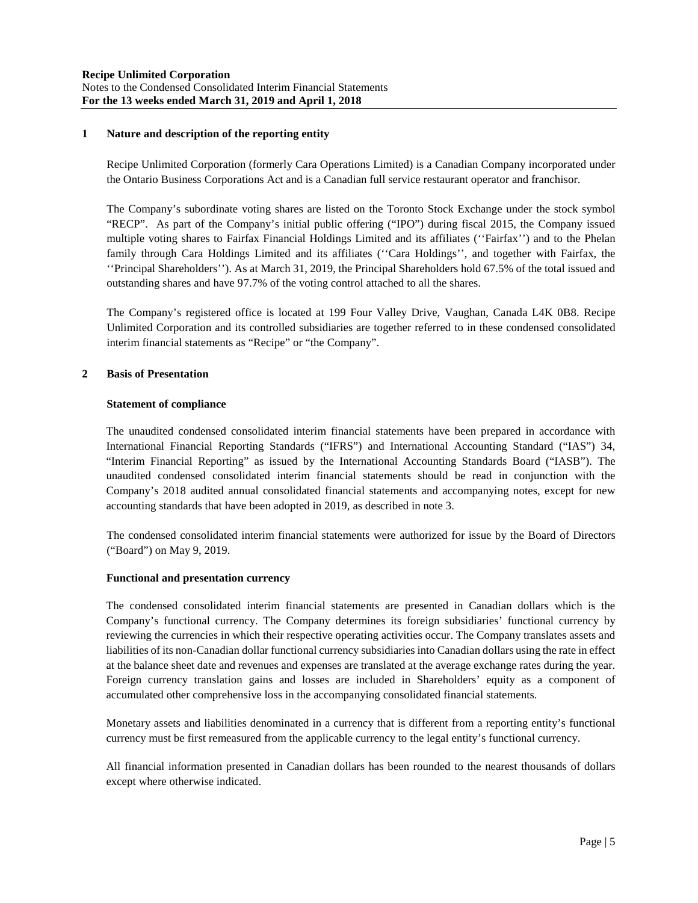## **1 Nature and description of the reporting entity**

Recipe Unlimited Corporation (formerly Cara Operations Limited) is a Canadian Company incorporated under the Ontario Business Corporations Act and is a Canadian full service restaurant operator and franchisor.

The Company's subordinate voting shares are listed on the Toronto Stock Exchange under the stock symbol "RECP". As part of the Company's initial public offering ("IPO") during fiscal 2015, the Company issued multiple voting shares to Fairfax Financial Holdings Limited and its affiliates (''Fairfax'') and to the Phelan family through Cara Holdings Limited and its affiliates (''Cara Holdings'', and together with Fairfax, the ''Principal Shareholders''). As at March 31, 2019, the Principal Shareholders hold 67.5% of the total issued and outstanding shares and have 97.7% of the voting control attached to all the shares.

The Company's registered office is located at 199 Four Valley Drive, Vaughan, Canada L4K 0B8. Recipe Unlimited Corporation and its controlled subsidiaries are together referred to in these condensed consolidated interim financial statements as "Recipe" or "the Company".

## **2 Basis of Presentation**

#### **Statement of compliance**

The unaudited condensed consolidated interim financial statements have been prepared in accordance with International Financial Reporting Standards ("IFRS") and International Accounting Standard ("IAS") 34, "Interim Financial Reporting" as issued by the International Accounting Standards Board ("IASB"). The unaudited condensed consolidated interim financial statements should be read in conjunction with the Company's 2018 audited annual consolidated financial statements and accompanying notes, except for new accounting standards that have been adopted in 2019, as described in note 3.

The condensed consolidated interim financial statements were authorized for issue by the Board of Directors ("Board") on May 9, 2019.

#### **Functional and presentation currency**

The condensed consolidated interim financial statements are presented in Canadian dollars which is the Company's functional currency. The Company determines its foreign subsidiaries' functional currency by reviewing the currencies in which their respective operating activities occur. The Company translates assets and liabilities of its non-Canadian dollar functional currency subsidiaries into Canadian dollars using the rate in effect at the balance sheet date and revenues and expenses are translated at the average exchange rates during the year. Foreign currency translation gains and losses are included in Shareholders' equity as a component of accumulated other comprehensive loss in the accompanying consolidated financial statements.

Monetary assets and liabilities denominated in a currency that is different from a reporting entity's functional currency must be first remeasured from the applicable currency to the legal entity's functional currency.

All financial information presented in Canadian dollars has been rounded to the nearest thousands of dollars except where otherwise indicated.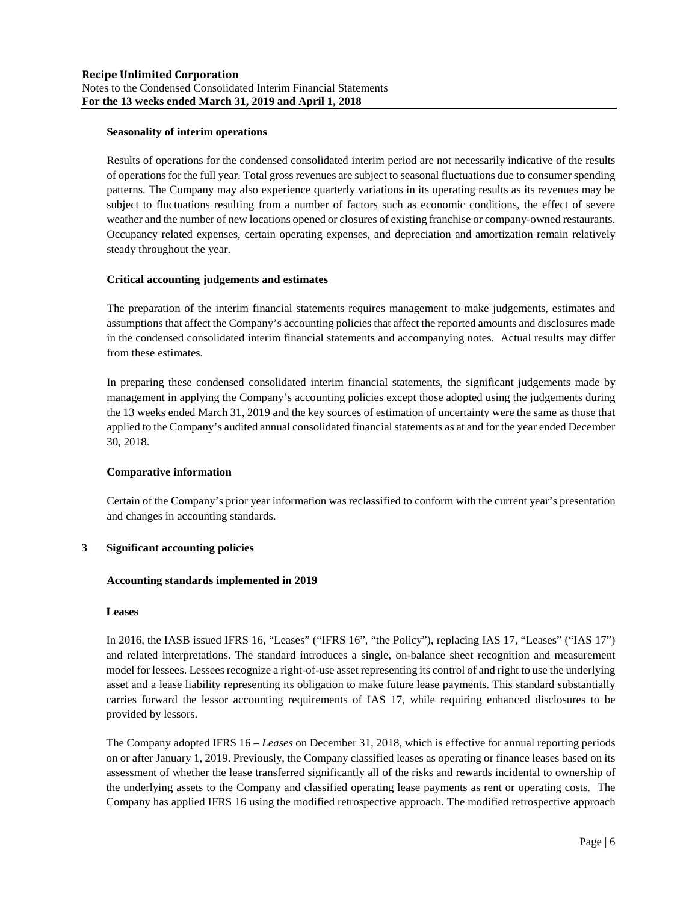## **Seasonality of interim operations**

Results of operations for the condensed consolidated interim period are not necessarily indicative of the results of operations for the full year. Total gross revenues are subject to seasonal fluctuations due to consumer spending patterns. The Company may also experience quarterly variations in its operating results as its revenues may be subject to fluctuations resulting from a number of factors such as economic conditions, the effect of severe weather and the number of new locations opened or closures of existing franchise or company-owned restaurants. Occupancy related expenses, certain operating expenses, and depreciation and amortization remain relatively steady throughout the year.

## **Critical accounting judgements and estimates**

The preparation of the interim financial statements requires management to make judgements, estimates and assumptions that affect the Company's accounting policies that affect the reported amounts and disclosures made in the condensed consolidated interim financial statements and accompanying notes. Actual results may differ from these estimates.

In preparing these condensed consolidated interim financial statements, the significant judgements made by management in applying the Company's accounting policies except those adopted using the judgements during the 13 weeks ended March 31, 2019 and the key sources of estimation of uncertainty were the same as those that applied to the Company's audited annual consolidated financial statements as at and for the year ended December 30, 2018.

#### **Comparative information**

Certain of the Company's prior year information was reclassified to conform with the current year's presentation and changes in accounting standards.

#### **3 Significant accounting policies**

#### **Accounting standards implemented in 2019**

#### **Leases**

In 2016, the IASB issued IFRS 16, "Leases" ("IFRS 16", "the Policy"), replacing IAS 17, "Leases" ("IAS 17") and related interpretations. The standard introduces a single, on-balance sheet recognition and measurement model for lessees. Lessees recognize a right-of-use asset representing its control of and right to use the underlying asset and a lease liability representing its obligation to make future lease payments. This standard substantially carries forward the lessor accounting requirements of IAS 17, while requiring enhanced disclosures to be provided by lessors.

The Company adopted IFRS 16 – *Leases* on December 31, 2018, which is effective for annual reporting periods on or after January 1, 2019. Previously, the Company classified leases as operating or finance leases based on its assessment of whether the lease transferred significantly all of the risks and rewards incidental to ownership of the underlying assets to the Company and classified operating lease payments as rent or operating costs. The Company has applied IFRS 16 using the modified retrospective approach. The modified retrospective approach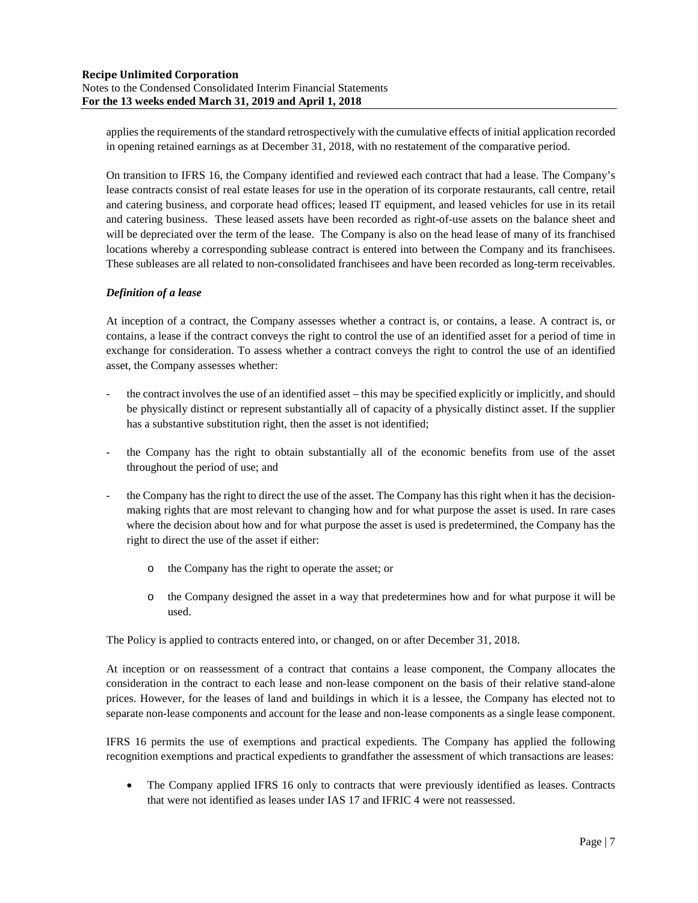applies the requirements of the standard retrospectively with the cumulative effects of initial application recorded in opening retained earnings as at December 31, 2018, with no restatement of the comparative period.

On transition to IFRS 16, the Company identified and reviewed each contract that had a lease. The Company's lease contracts consist of real estate leases for use in the operation of its corporate restaurants, call centre, retail and catering business, and corporate head offices; leased IT equipment, and leased vehicles for use in its retail and catering business. These leased assets have been recorded as right-of-use assets on the balance sheet and will be depreciated over the term of the lease. The Company is also on the head lease of many of its franchised locations whereby a corresponding sublease contract is entered into between the Company and its franchisees. These subleases are all related to non-consolidated franchisees and have been recorded as long-term receivables.

## *Definition of a lease*

At inception of a contract, the Company assesses whether a contract is, or contains, a lease. A contract is, or contains, a lease if the contract conveys the right to control the use of an identified asset for a period of time in exchange for consideration. To assess whether a contract conveys the right to control the use of an identified asset, the Company assesses whether:

- the contract involves the use of an identified asset this may be specified explicitly or implicitly, and should be physically distinct or represent substantially all of capacity of a physically distinct asset. If the supplier has a substantive substitution right, then the asset is not identified;
- the Company has the right to obtain substantially all of the economic benefits from use of the asset throughout the period of use; and
- the Company has the right to direct the use of the asset. The Company has this right when it has the decisionmaking rights that are most relevant to changing how and for what purpose the asset is used. In rare cases where the decision about how and for what purpose the asset is used is predetermined, the Company has the right to direct the use of the asset if either:
	- the Company has the right to operate the asset; or
	- o the Company designed the asset in a way that predetermines how and for what purpose it will be used.

The Policy is applied to contracts entered into, or changed, on or after December 31, 2018.

At inception or on reassessment of a contract that contains a lease component, the Company allocates the consideration in the contract to each lease and non-lease component on the basis of their relative stand-alone prices. However, for the leases of land and buildings in which it is a lessee, the Company has elected not to separate non-lease components and account for the lease and non-lease components as a single lease component.

IFRS 16 permits the use of exemptions and practical expedients. The Company has applied the following recognition exemptions and practical expedients to grandfather the assessment of which transactions are leases:

 The Company applied IFRS 16 only to contracts that were previously identified as leases. Contracts that were not identified as leases under IAS 17 and IFRIC 4 were not reassessed.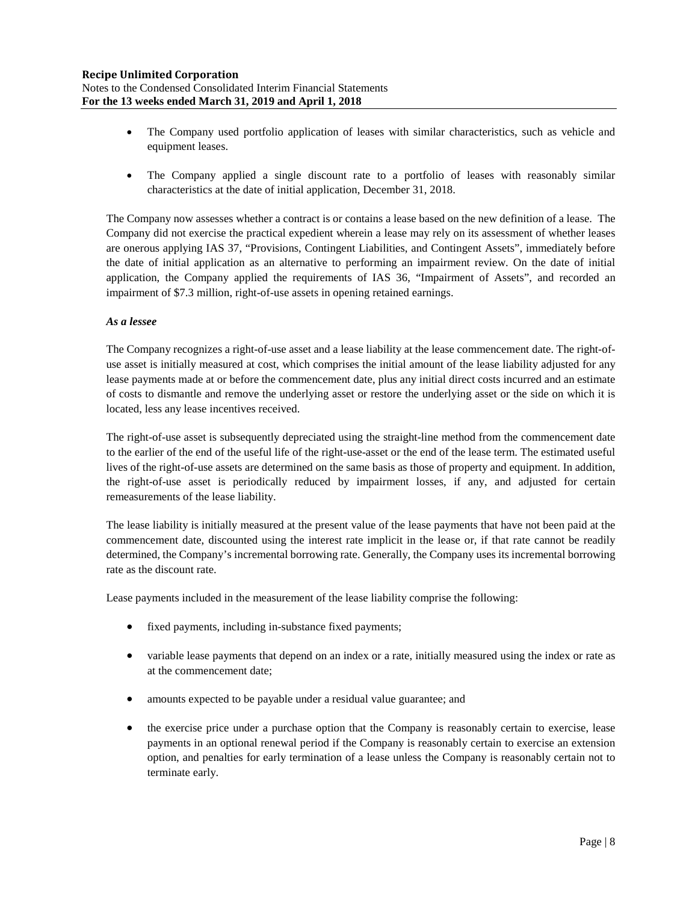- The Company used portfolio application of leases with similar characteristics, such as vehicle and equipment leases.
- The Company applied a single discount rate to a portfolio of leases with reasonably similar characteristics at the date of initial application, December 31, 2018.

The Company now assesses whether a contract is or contains a lease based on the new definition of a lease. The Company did not exercise the practical expedient wherein a lease may rely on its assessment of whether leases are onerous applying IAS 37, "Provisions, Contingent Liabilities, and Contingent Assets", immediately before the date of initial application as an alternative to performing an impairment review. On the date of initial application, the Company applied the requirements of IAS 36, "Impairment of Assets", and recorded an impairment of \$7.3 million, right-of-use assets in opening retained earnings.

## *As a lessee*

The Company recognizes a right-of-use asset and a lease liability at the lease commencement date. The right-ofuse asset is initially measured at cost, which comprises the initial amount of the lease liability adjusted for any lease payments made at or before the commencement date, plus any initial direct costs incurred and an estimate of costs to dismantle and remove the underlying asset or restore the underlying asset or the side on which it is located, less any lease incentives received.

The right-of-use asset is subsequently depreciated using the straight-line method from the commencement date to the earlier of the end of the useful life of the right-use-asset or the end of the lease term. The estimated useful lives of the right-of-use assets are determined on the same basis as those of property and equipment. In addition, the right-of-use asset is periodically reduced by impairment losses, if any, and adjusted for certain remeasurements of the lease liability.

The lease liability is initially measured at the present value of the lease payments that have not been paid at the commencement date, discounted using the interest rate implicit in the lease or, if that rate cannot be readily determined, the Company's incremental borrowing rate. Generally, the Company uses its incremental borrowing rate as the discount rate.

Lease payments included in the measurement of the lease liability comprise the following:

- fixed payments, including in-substance fixed payments;
- variable lease payments that depend on an index or a rate, initially measured using the index or rate as at the commencement date;
- amounts expected to be payable under a residual value guarantee; and
- the exercise price under a purchase option that the Company is reasonably certain to exercise, lease payments in an optional renewal period if the Company is reasonably certain to exercise an extension option, and penalties for early termination of a lease unless the Company is reasonably certain not to terminate early.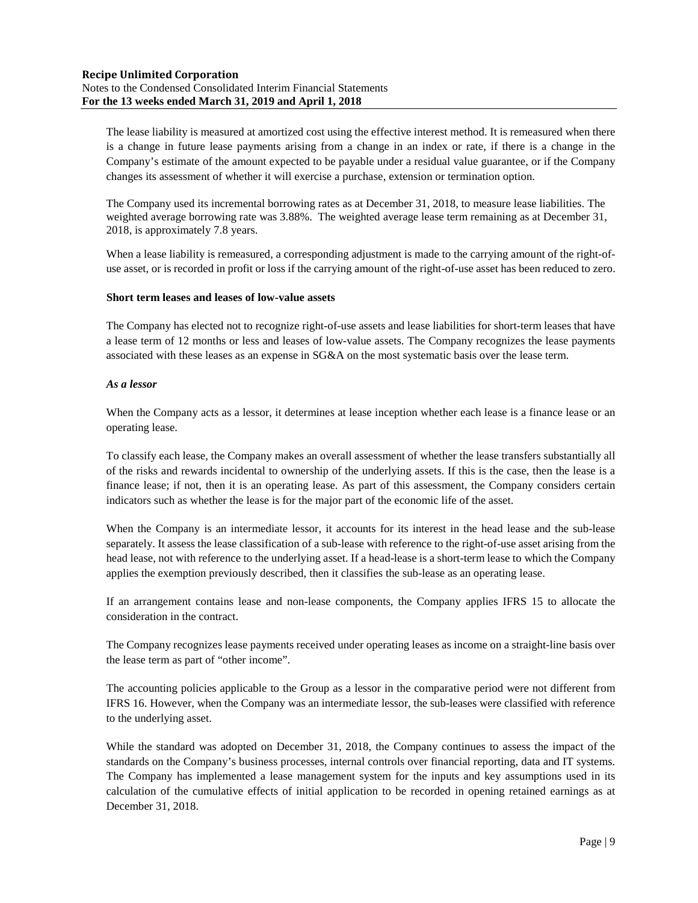The lease liability is measured at amortized cost using the effective interest method. It is remeasured when there is a change in future lease payments arising from a change in an index or rate, if there is a change in the Company's estimate of the amount expected to be payable under a residual value guarantee, or if the Company changes its assessment of whether it will exercise a purchase, extension or termination option.

The Company used its incremental borrowing rates as at December 31, 2018, to measure lease liabilities. The weighted average borrowing rate was 3.88%. The weighted average lease term remaining as at December 31, 2018, is approximately 7.8 years.

When a lease liability is remeasured, a corresponding adjustment is made to the carrying amount of the right-ofuse asset, or is recorded in profit or loss if the carrying amount of the right-of-use asset has been reduced to zero.

## **Short term leases and leases of low-value assets**

The Company has elected not to recognize right-of-use assets and lease liabilities for short-term leases that have a lease term of 12 months or less and leases of low-value assets. The Company recognizes the lease payments associated with these leases as an expense in SG&A on the most systematic basis over the lease term.

## *As a lessor*

When the Company acts as a lessor, it determines at lease inception whether each lease is a finance lease or an operating lease.

To classify each lease, the Company makes an overall assessment of whether the lease transfers substantially all of the risks and rewards incidental to ownership of the underlying assets. If this is the case, then the lease is a finance lease; if not, then it is an operating lease. As part of this assessment, the Company considers certain indicators such as whether the lease is for the major part of the economic life of the asset.

When the Company is an intermediate lessor, it accounts for its interest in the head lease and the sub-lease separately. It assess the lease classification of a sub-lease with reference to the right-of-use asset arising from the head lease, not with reference to the underlying asset. If a head-lease is a short-term lease to which the Company applies the exemption previously described, then it classifies the sub-lease as an operating lease.

If an arrangement contains lease and non-lease components, the Company applies IFRS 15 to allocate the consideration in the contract.

The Company recognizes lease payments received under operating leases as income on a straight-line basis over the lease term as part of "other income".

The accounting policies applicable to the Group as a lessor in the comparative period were not different from IFRS 16. However, when the Company was an intermediate lessor, the sub-leases were classified with reference to the underlying asset.

While the standard was adopted on December 31, 2018, the Company continues to assess the impact of the standards on the Company's business processes, internal controls over financial reporting, data and IT systems. The Company has implemented a lease management system for the inputs and key assumptions used in its calculation of the cumulative effects of initial application to be recorded in opening retained earnings as at December 31, 2018.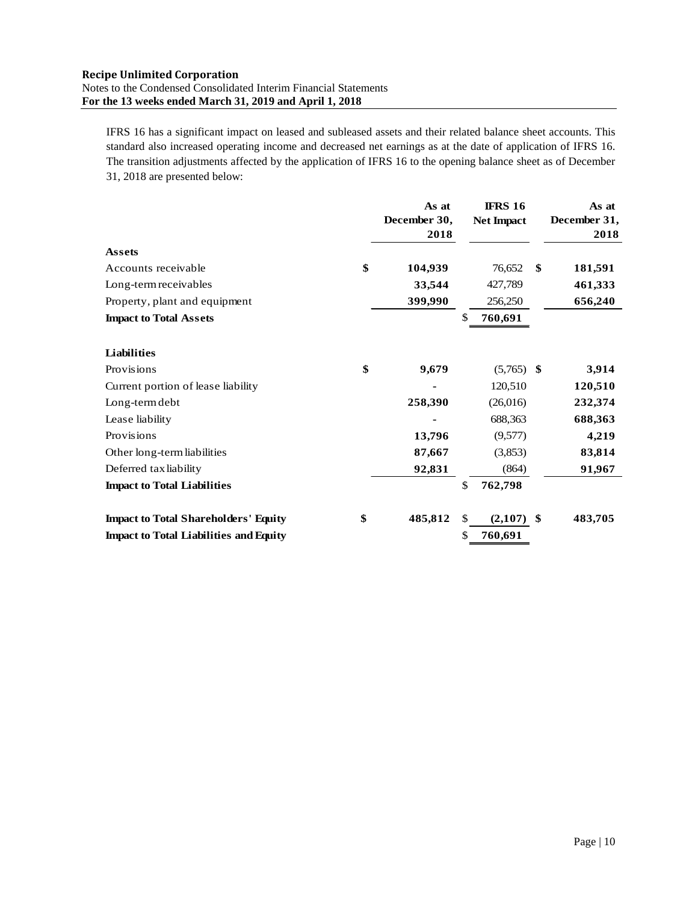IFRS 16 has a significant impact on leased and subleased assets and their related balance sheet accounts. This standard also increased operating income and decreased net earnings as at the date of application of IFRS 16. The transition adjustments affected by the application of IFRS 16 to the opening balance sheet as of December 31, 2018 are presented below:

|                                               | As at<br>December 30,<br>2018 |    | <b>IFRS 16</b><br><b>Net Impact</b> |     | As at<br>December 31,<br>2018 |
|-----------------------------------------------|-------------------------------|----|-------------------------------------|-----|-------------------------------|
| <b>Assets</b>                                 |                               |    |                                     |     |                               |
| Accounts receivable                           | \$<br>104,939                 |    | 76,652                              | \$  | 181,591                       |
| Long-term receivables                         | 33,544                        |    | 427,789                             |     | 461,333                       |
| Property, plant and equipment                 | 399,990                       |    | 256,250                             |     | 656,240                       |
| <b>Impact to Total Assets</b>                 |                               | S  | 760,691                             |     |                               |
| <b>Liabilities</b>                            |                               |    |                                     |     |                               |
| Provisions                                    | \$<br>9,679                   |    | $(5,765)$ \$                        |     | 3,914                         |
| Current portion of lease liability            |                               |    | 120,510                             |     | 120,510                       |
| Long-term debt                                | 258,390                       |    | (26,016)                            |     | 232,374                       |
| Lease liability                               |                               |    | 688,363                             |     | 688,363                       |
| Provisions                                    | 13,796                        |    | (9,577)                             |     | 4,219                         |
| Other long-term liabilities                   | 87,667                        |    | (3,853)                             |     | 83,814                        |
| Deferred tax liability                        | 92,831                        |    | (864)                               |     | 91,967                        |
| <b>Impact to Total Liabilities</b>            |                               | \$ | 762,798                             |     |                               |
| <b>Impact to Total Shareholders' Equity</b>   | \$<br>485,812                 | \$ | (2,107)                             | -\$ | 483,705                       |
| <b>Impact to Total Liabilities and Equity</b> |                               | \$ | 760,691                             |     |                               |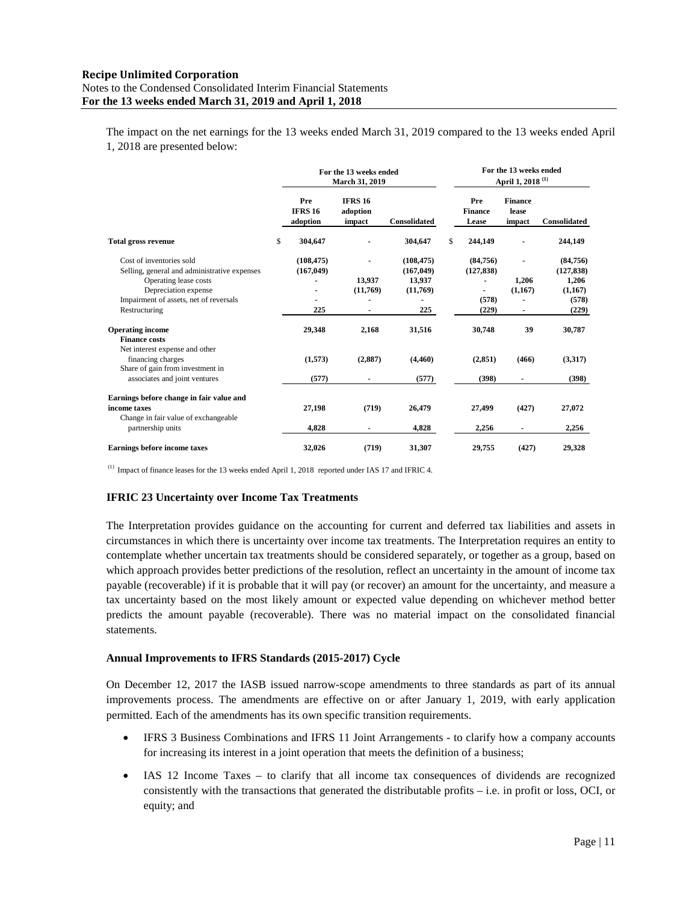The impact on the net earnings for the 13 weeks ended March 31, 2019 compared to the 13 weeks ended April 1, 2018 are presented below:

|                                                                                                   | For the 13 weeks ended<br>March 31, 2019 |                                      |                                    |                                | For the 13 weeks ended<br>April 1, 2018 <sup>(1)</sup> |                                 |
|---------------------------------------------------------------------------------------------------|------------------------------------------|--------------------------------------|------------------------------------|--------------------------------|--------------------------------------------------------|---------------------------------|
|                                                                                                   | Pre<br><b>IFRS 16</b><br>adoption        | <b>IFRS 16</b><br>adoption<br>impact | <b>Consolidated</b>                | Pre<br><b>Finance</b><br>Lease | <b>Finance</b><br>lease<br>impact                      | <b>Consolidated</b>             |
| <b>Total gross revenue</b>                                                                        | \$<br>304.647                            |                                      | 304.647                            | \$<br>244,149                  |                                                        | 244,149                         |
| Cost of inventories sold<br>Selling, general and administrative expenses<br>Operating lease costs | (108, 475)<br>(167, 049)                 | $\overline{a}$<br>13,937             | (108, 475)<br>(167, 049)<br>13.937 | (84,756)<br>(127, 838)         | 1,206                                                  | (84,756)<br>(127, 838)<br>1,206 |
| Depreciation expense<br>Impairment of assets, net of reversals                                    |                                          | (11,769)                             | (11,769)                           | ۰<br>(578)                     | (1,167)                                                | (1,167)<br>(578)                |
| Restructuring                                                                                     | 225                                      |                                      | 225                                | (229)                          | ٠                                                      | (229)                           |
| <b>Operating income</b><br><b>Finance costs</b><br>Net interest expense and other                 | 29,348                                   | 2,168                                | 31,516                             | 30,748                         | 39                                                     | 30,787                          |
| financing charges<br>Share of gain from investment in                                             | (1,573)                                  | (2,887)                              | (4,460)                            | (2, 851)                       | (466)                                                  | (3,317)                         |
| associates and joint ventures                                                                     | (577)                                    | ٠                                    | (577)                              | (398)                          | $\blacksquare$                                         | (398)                           |
| Earnings before change in fair value and<br>income taxes<br>Change in fair value of exchangeable  | 27,198                                   | (719)                                | 26,479                             | 27,499                         | (427)                                                  | 27,072                          |
| partnership units                                                                                 | 4,828                                    |                                      | 4,828                              | 2,256                          |                                                        | 2,256                           |
| Earnings before income taxes                                                                      | 32,026                                   | (719)                                | 31,307                             | 29,755                         | (427)                                                  | 29,328                          |

(1) Impact of finance leases for the 13 weeks ended April 1, 2018 reported under IAS 17 and IFRIC 4.

#### **IFRIC 23 Uncertainty over Income Tax Treatments**

The Interpretation provides guidance on the accounting for current and deferred tax liabilities and assets in circumstances in which there is uncertainty over income tax treatments. The Interpretation requires an entity to contemplate whether uncertain tax treatments should be considered separately, or together as a group, based on which approach provides better predictions of the resolution, reflect an uncertainty in the amount of income tax payable (recoverable) if it is probable that it will pay (or recover) an amount for the uncertainty, and measure a tax uncertainty based on the most likely amount or expected value depending on whichever method better predicts the amount payable (recoverable). There was no material impact on the consolidated financial statements.

#### **Annual Improvements to IFRS Standards (2015-2017) Cycle**

On December 12, 2017 the IASB issued narrow-scope amendments to three standards as part of its annual improvements process. The amendments are effective on or after January 1, 2019, with early application permitted. Each of the amendments has its own specific transition requirements.

- IFRS 3 Business Combinations and IFRS 11 Joint Arrangements to clarify how a company accounts for increasing its interest in a joint operation that meets the definition of a business;
- IAS 12 Income Taxes to clarify that all income tax consequences of dividends are recognized consistently with the transactions that generated the distributable profits – i.e. in profit or loss, OCI, or equity; and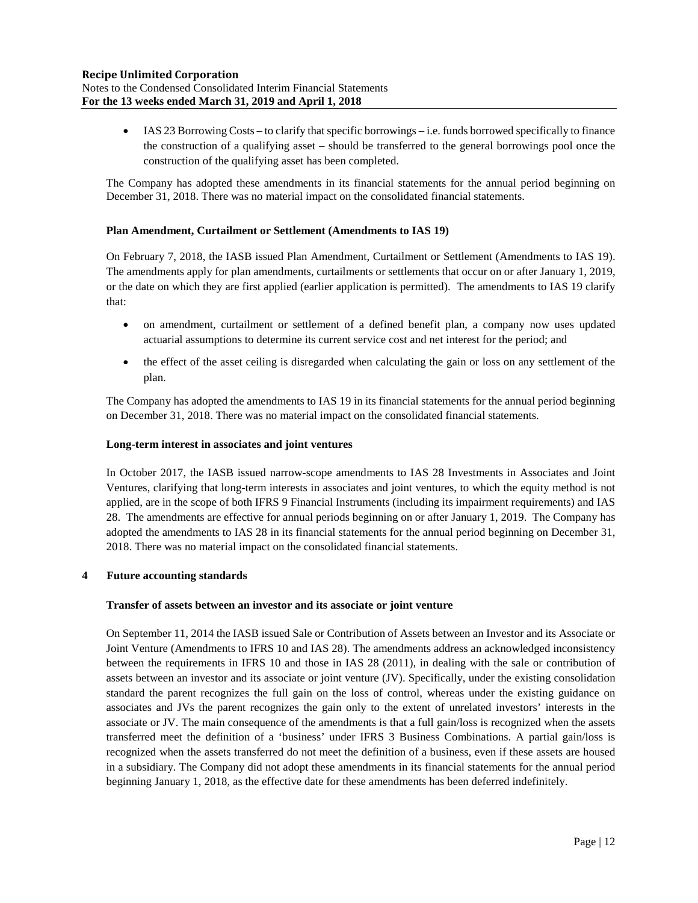IAS 23 Borrowing Costs – to clarify that specific borrowings – i.e. funds borrowed specifically to finance the construction of a qualifying asset – should be transferred to the general borrowings pool once the construction of the qualifying asset has been completed.

The Company has adopted these amendments in its financial statements for the annual period beginning on December 31, 2018. There was no material impact on the consolidated financial statements.

## **Plan Amendment, Curtailment or Settlement (Amendments to IAS 19)**

On February 7, 2018, the IASB issued Plan Amendment, Curtailment or Settlement (Amendments to IAS 19). The amendments apply for plan amendments, curtailments or settlements that occur on or after January 1, 2019, or the date on which they are first applied (earlier application is permitted). The amendments to IAS 19 clarify that:

- on amendment, curtailment or settlement of a defined benefit plan, a company now uses updated actuarial assumptions to determine its current service cost and net interest for the period; and
- the effect of the asset ceiling is disregarded when calculating the gain or loss on any settlement of the plan.

The Company has adopted the amendments to IAS 19 in its financial statements for the annual period beginning on December 31, 2018. There was no material impact on the consolidated financial statements.

## **Long-term interest in associates and joint ventures**

In October 2017, the IASB issued narrow-scope amendments to IAS 28 Investments in Associates and Joint Ventures, clarifying that long-term interests in associates and joint ventures, to which the equity method is not applied, are in the scope of both IFRS 9 Financial Instruments (including its impairment requirements) and IAS 28. The amendments are effective for annual periods beginning on or after January 1, 2019. The Company has adopted the amendments to IAS 28 in its financial statements for the annual period beginning on December 31, 2018. There was no material impact on the consolidated financial statements.

## **4 Future accounting standards**

#### **Transfer of assets between an investor and its associate or joint venture**

On September 11, 2014 the IASB issued Sale or Contribution of Assets between an Investor and its Associate or Joint Venture (Amendments to IFRS 10 and IAS 28). The amendments address an acknowledged inconsistency between the requirements in IFRS 10 and those in IAS 28 (2011), in dealing with the sale or contribution of assets between an investor and its associate or joint venture (JV). Specifically, under the existing consolidation standard the parent recognizes the full gain on the loss of control, whereas under the existing guidance on associates and JVs the parent recognizes the gain only to the extent of unrelated investors' interests in the associate or JV. The main consequence of the amendments is that a full gain/loss is recognized when the assets transferred meet the definition of a 'business' under IFRS 3 Business Combinations. A partial gain/loss is recognized when the assets transferred do not meet the definition of a business, even if these assets are housed in a subsidiary. The Company did not adopt these amendments in its financial statements for the annual period beginning January 1, 2018, as the effective date for these amendments has been deferred indefinitely.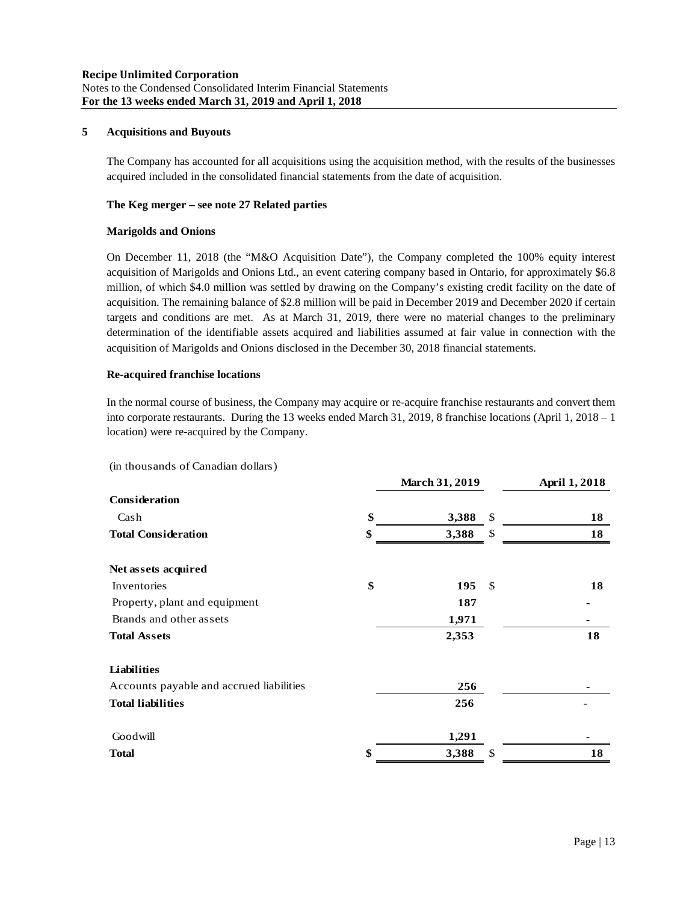## **5 Acquisitions and Buyouts**

The Company has accounted for all acquisitions using the acquisition method, with the results of the businesses acquired included in the consolidated financial statements from the date of acquisition.

## **The Keg merger – see note 27 Related parties**

## **Marigolds and Onions**

On December 11, 2018 (the "M&O Acquisition Date"), the Company completed the 100% equity interest acquisition of Marigolds and Onions Ltd., an event catering company based in Ontario, for approximately \$6.8 million, of which \$4.0 million was settled by drawing on the Company's existing credit facility on the date of acquisition. The remaining balance of \$2.8 million will be paid in December 2019 and December 2020 if certain targets and conditions are met. As at March 31, 2019, there were no material changes to the preliminary determination of the identifiable assets acquired and liabilities assumed at fair value in connection with the acquisition of Marigolds and Onions disclosed in the December 30, 2018 financial statements.

## **Re-acquired franchise locations**

In the normal course of business, the Company may acquire or re-acquire franchise restaurants and convert them into corporate restaurants. During the 13 weeks ended March 31, 2019, 8 franchise locations (April 1, 2018 – 1 location) were re-acquired by the Company.

|                                          | <b>March 31, 2019</b> |      | <b>April 1, 2018</b> |
|------------------------------------------|-----------------------|------|----------------------|
| Consideration                            |                       |      |                      |
| Cash                                     | \$<br>3,388           | \$   | 18                   |
| <b>Total Consideration</b>               | \$<br>3,388           | \$   | 18                   |
| Net assets acquired                      |                       |      |                      |
| Inventories                              | \$<br>195             | - \$ | 18                   |
| Property, plant and equipment            | 187                   |      |                      |
| Brands and other assets                  | 1,971                 |      |                      |
| <b>Total Assets</b>                      | 2,353                 |      | 18                   |
| <b>Liabilities</b>                       |                       |      |                      |
| Accounts payable and accrued liabilities | 256                   |      |                      |
| <b>Total liabilities</b>                 | 256                   |      |                      |
| Goodwill                                 | 1,291                 |      |                      |
| <b>Total</b>                             | \$<br>3,388           | \$   | 18                   |

(in thousands of Canadian dollars)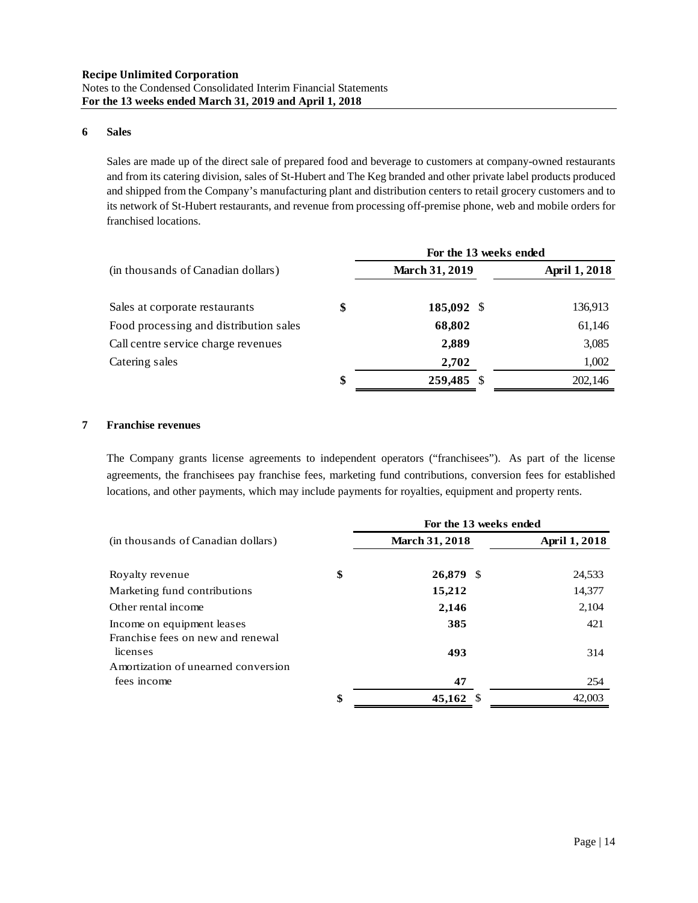## **6 Sales**

Sales are made up of the direct sale of prepared food and beverage to customers at company-owned restaurants and from its catering division, sales of St-Hubert and The Keg branded and other private label products produced and shipped from the Company's manufacturing plant and distribution centers to retail grocery customers and to its network of St-Hubert restaurants, and revenue from processing off-premise phone, web and mobile orders for franchised locations.

|                                        | For the 13 weeks ended |                      |  |  |  |  |  |
|----------------------------------------|------------------------|----------------------|--|--|--|--|--|
| (in thousands of Canadian dollars)     | <b>March 31, 2019</b>  | <b>April 1, 2018</b> |  |  |  |  |  |
| Sales at corporate restaurants         | \$<br>185,092 \$       | 136,913              |  |  |  |  |  |
| Food processing and distribution sales | 68,802                 | 61,146               |  |  |  |  |  |
| Call centre service charge revenues    | 2,889                  | 3,085                |  |  |  |  |  |
| Catering sales                         | 2,702                  | 1,002                |  |  |  |  |  |
|                                        | \$<br>259,485 \$       | 202,146              |  |  |  |  |  |

## **7 Franchise revenues**

The Company grants license agreements to independent operators ("franchisees"). As part of the license agreements, the franchisees pay franchise fees, marketing fund contributions, conversion fees for established locations, and other payments, which may include payments for royalties, equipment and property rents.

|                                                                 | For the 13 weeks ended |                      |  |  |  |  |  |
|-----------------------------------------------------------------|------------------------|----------------------|--|--|--|--|--|
| (in thousands of Canadian dollars)                              | <b>March 31, 2018</b>  | <b>April 1, 2018</b> |  |  |  |  |  |
| Royalty revenue                                                 | \$<br>26,879 \$        | 24,533               |  |  |  |  |  |
| Marketing fund contributions                                    | 15,212                 | 14,377               |  |  |  |  |  |
| Other rental income                                             | 2,146                  | 2,104                |  |  |  |  |  |
| Income on equipment leases<br>Franchise fees on new and renewal | 385                    | 421                  |  |  |  |  |  |
| licenses                                                        | 493                    | 314                  |  |  |  |  |  |
| Amortization of unearned conversion                             |                        |                      |  |  |  |  |  |
| fees income                                                     | 47                     | 254                  |  |  |  |  |  |
|                                                                 | \$<br>45,162 \$        | 42,003               |  |  |  |  |  |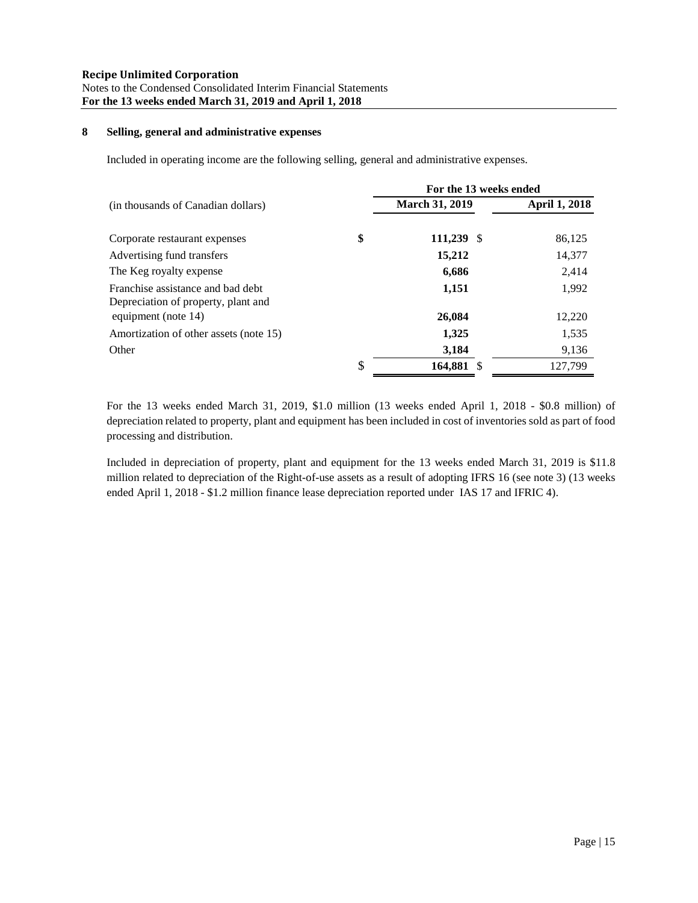## **8 Selling, general and administrative expenses**

Included in operating income are the following selling, general and administrative expenses.

|                                                                          | For the 13 weeks ended |                      |
|--------------------------------------------------------------------------|------------------------|----------------------|
| (in thousands of Canadian dollars)                                       | <b>March 31, 2019</b>  | <b>April 1, 2018</b> |
| Corporate restaurant expenses                                            | \$<br>$111,239$ \$     | 86,125               |
| Advertising fund transfers                                               | 15,212                 | 14,377               |
| The Keg royalty expense                                                  | 6,686                  | 2,414                |
| Franchise assistance and bad debt<br>Depreciation of property, plant and | 1,151                  | 1,992                |
| equipment (note 14)                                                      | 26,084                 | 12,220               |
| Amortization of other assets (note 15)                                   | 1,325                  | 1,535                |
| Other                                                                    | 3,184                  | 9,136                |
|                                                                          | \$<br>164,881 \$       | 127,799              |

For the 13 weeks ended March 31, 2019, \$1.0 million (13 weeks ended April 1, 2018 - \$0.8 million) of depreciation related to property, plant and equipment has been included in cost of inventories sold as part of food processing and distribution.

Included in depreciation of property, plant and equipment for the 13 weeks ended March 31, 2019 is \$11.8 million related to depreciation of the Right-of-use assets as a result of adopting IFRS 16 (see note 3) (13 weeks ended April 1, 2018 - \$1.2 million finance lease depreciation reported under IAS 17 and IFRIC 4).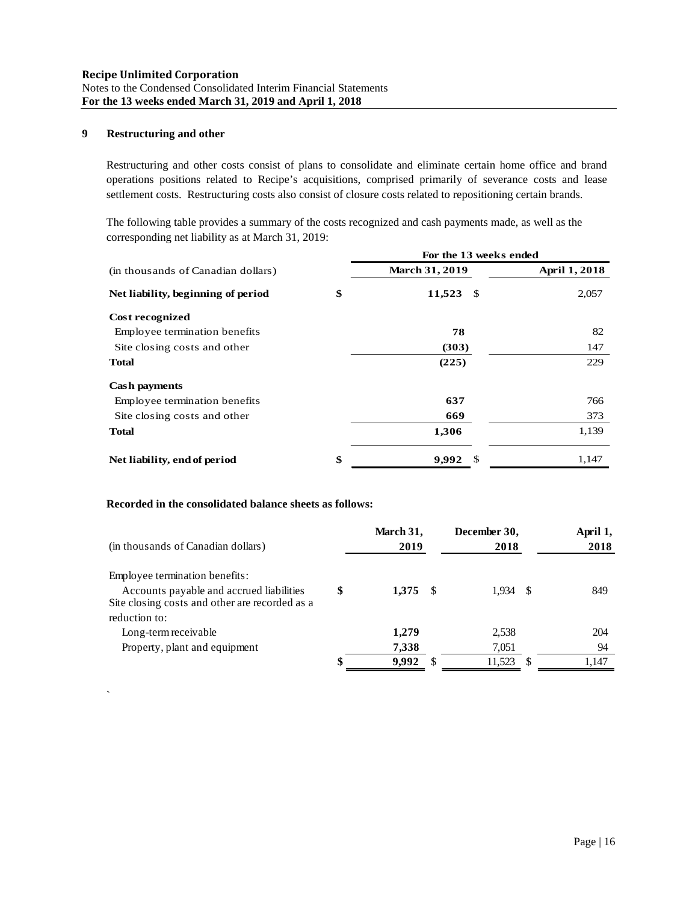## **9 Restructuring and other**

`

Restructuring and other costs consist of plans to consolidate and eliminate certain home office and brand operations positions related to Recipe's acquisitions, comprised primarily of severance costs and lease settlement costs. Restructuring costs also consist of closure costs related to repositioning certain brands.

The following table provides a summary of the costs recognized and cash payments made, as well as the corresponding net liability as at March 31, 2019:

|                                    | For the 13 weeks ended |               |  |  |
|------------------------------------|------------------------|---------------|--|--|
| (in thousands of Canadian dollars) | <b>March 31, 2019</b>  | April 1, 2018 |  |  |
| Net liability, beginning of period | \$<br>11,523<br>-S     | 2,057         |  |  |
| Cost recognized                    |                        |               |  |  |
| Employee termination benefits      | 78                     | 82            |  |  |
| Site closing costs and other       | (303)                  | 147           |  |  |
| <b>Total</b>                       | (225)                  | 229           |  |  |
| <b>Cash payments</b>               |                        |               |  |  |
| Employee termination benefits      | 637                    | 766           |  |  |
| Site closing costs and other       | 669                    | 373           |  |  |
| <b>Total</b>                       | 1,306                  | 1,139         |  |  |
| Net liability, end of period       | \$<br>9,992<br>S       | 1,147         |  |  |

## **Recorded in the consolidated balance sheets as follows:**

| (in thousands of Canadian dollars)             |   | March 31,<br>2019 | December 30,<br>2018 | April 1,<br>2018 |
|------------------------------------------------|---|-------------------|----------------------|------------------|
| Employee termination benefits:                 |   |                   |                      |                  |
| Accounts payable and accrued liabilities       | S | $1.375 \quad$ \$  | 1.934 S              | 849              |
| Site closing costs and other are recorded as a |   |                   |                      |                  |
| reduction to:                                  |   |                   |                      |                  |
| Long-term receivable                           |   | 1.279             | 2.538                | 204              |
| Property, plant and equipment                  |   | 7,338             | 7,051                | 94               |
|                                                |   | 9,992             | 11,523               | 1,147            |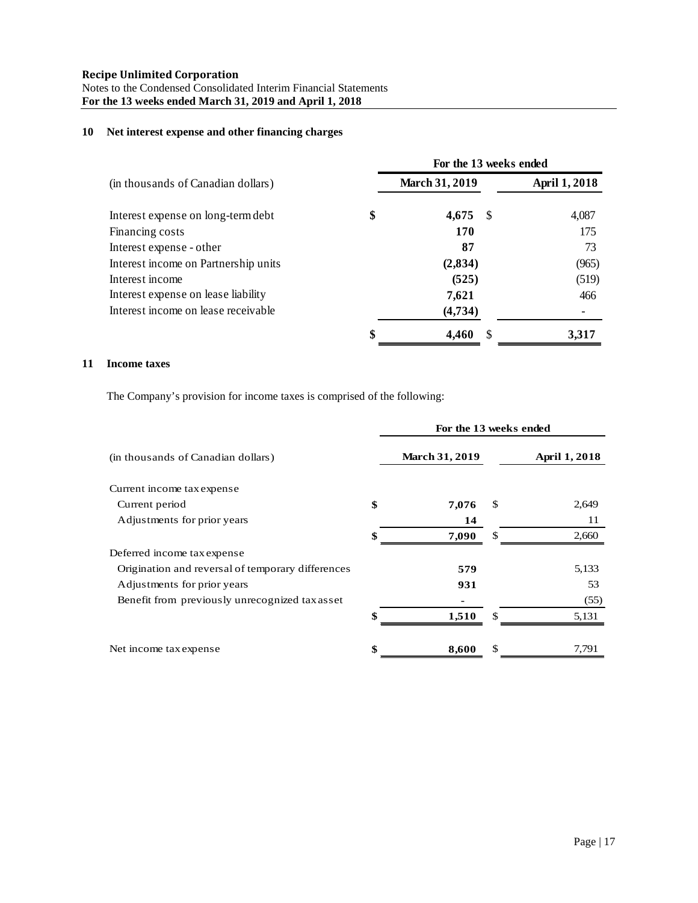## **10 Net interest expense and other financing charges**

|                                      | For the 13 weeks ended |    |                      |
|--------------------------------------|------------------------|----|----------------------|
| (in thousands of Canadian dollars)   | <b>March 31, 2019</b>  |    | <b>April 1, 2018</b> |
| Interest expense on long-term debt   | \$<br>4,675            | -S | 4,087                |
| Financing costs                      | 170                    |    | 175                  |
| Interest expense - other             | 87                     |    | 73                   |
| Interest income on Partnership units | (2,834)                |    | (965)                |
| Interest income                      | (525)                  |    | (519)                |
| Interest expense on lease liability  | 7,621                  |    | 466                  |
| Interest income on lease receivable  | (4,734)                |    |                      |
|                                      | \$<br>4,460            |    | 3,317                |

## **11 Income taxes**

The Company's provision for income taxes is comprised of the following:

|                                                   | For the 13 weeks ended |                      |
|---------------------------------------------------|------------------------|----------------------|
| (in thousands of Canadian dollars)                | <b>March 31, 2019</b>  | <b>April 1, 2018</b> |
| Current income tax expense                        |                        |                      |
| Current period                                    | \$<br>7,076            | \$<br>2,649          |
| Adjustments for prior years                       | 14                     | 11                   |
|                                                   | \$<br>7,090            | \$<br>2,660          |
| Deferred income tax expense                       |                        |                      |
| Origination and reversal of temporary differences | 579                    | 5,133                |
| Adjustments for prior years                       | 931                    | 53                   |
| Benefit from previously unrecognized tax asset    |                        | (55)                 |
|                                                   | \$<br>1,510            | \$<br>5,131          |
| Net income tax expense                            | \$<br>8,600            | \$<br>7,791          |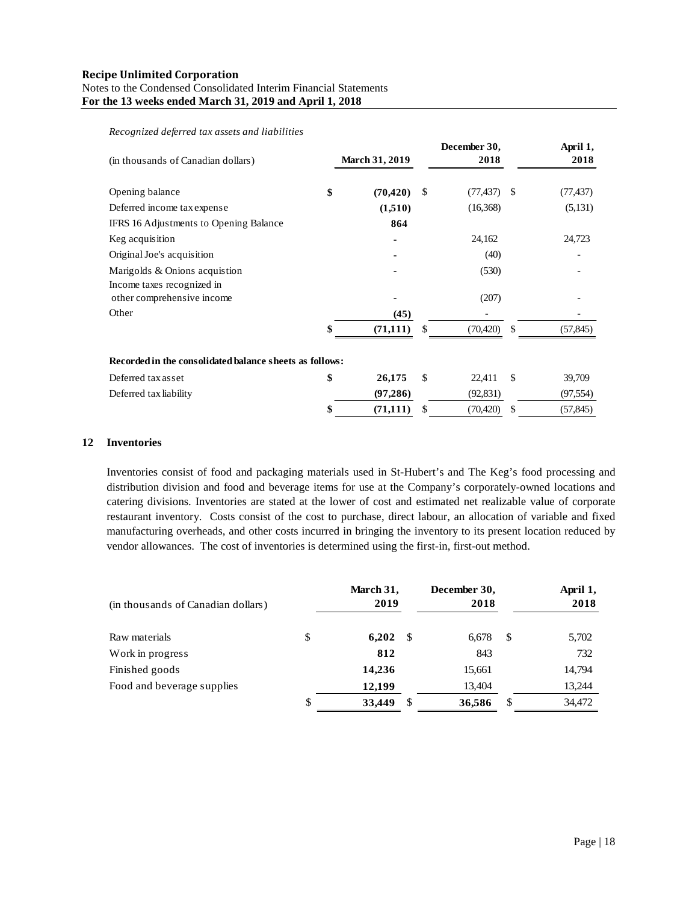| (in thousands of Canadian dollars)                       | <b>March 31, 2019</b> |     | December 30,<br>2018 |               | April 1,<br>2018 |
|----------------------------------------------------------|-----------------------|-----|----------------------|---------------|------------------|
| Opening balance                                          | \$<br>(70, 420)       | \$  | $(77, 437)$ \$       |               | (77, 437)        |
| Deferred income tax expense                              | (1,510)               |     | (16,368)             |               | (5,131)          |
| IFRS 16 Adjustments to Opening Balance                   | 864                   |     |                      |               |                  |
| Keg acquisition                                          |                       |     | 24,162               |               | 24,723           |
| Original Joe's acquisition                               |                       |     | (40)                 |               |                  |
| Marigolds & Onions acquistion                            |                       |     | (530)                |               |                  |
| Income taxes recognized in<br>other comprehensive income |                       |     | (207)                |               |                  |
| Other                                                    | (45)                  |     |                      |               |                  |
|                                                          | (71, 111)             | S   | (70, 420)            | <sup>\$</sup> | (57, 845)        |
| Recorded in the consolidated balance sheets as follows:  |                       |     |                      |               |                  |
| Deferred tax asset                                       | \$<br>26,175          | \$. | 22,411               | <sup>\$</sup> | 39,709           |
| Deferred tax liability                                   | (97, 286)             |     | (92, 831)            |               | (97, 554)        |
|                                                          | \$<br>(71, 111)       | \$  | (70, 420)            | \$            | (57, 845)        |

*Recognized deferred tax assets and liabilities*

#### **12 Inventories**

Inventories consist of food and packaging materials used in St-Hubert's and The Keg's food processing and distribution division and food and beverage items for use at the Company's corporately-owned locations and catering divisions. Inventories are stated at the lower of cost and estimated net realizable value of corporate restaurant inventory. Costs consist of the cost to purchase, direct labour, an allocation of variable and fixed manufacturing overheads, and other costs incurred in bringing the inventory to its present location reduced by vendor allowances. The cost of inventories is determined using the first-in, first-out method.

| (in thousands of Canadian dollars) | March 31,<br>2019 |     | December 30,<br>2018 |    | April 1,<br>2018 |
|------------------------------------|-------------------|-----|----------------------|----|------------------|
| Raw materials                      | \$<br>6,202       | -8  | 6,678                | -S | 5,702            |
| Work in progress                   | 812               |     | 843                  |    | 732              |
| Finished goods                     | 14,236            |     | 15,661               |    | 14,794           |
| Food and beverage supplies         | 12,199            |     | 13,404               |    | 13,244           |
|                                    | \$<br>33,449      | -\$ | 36,586               | S  | 34,472           |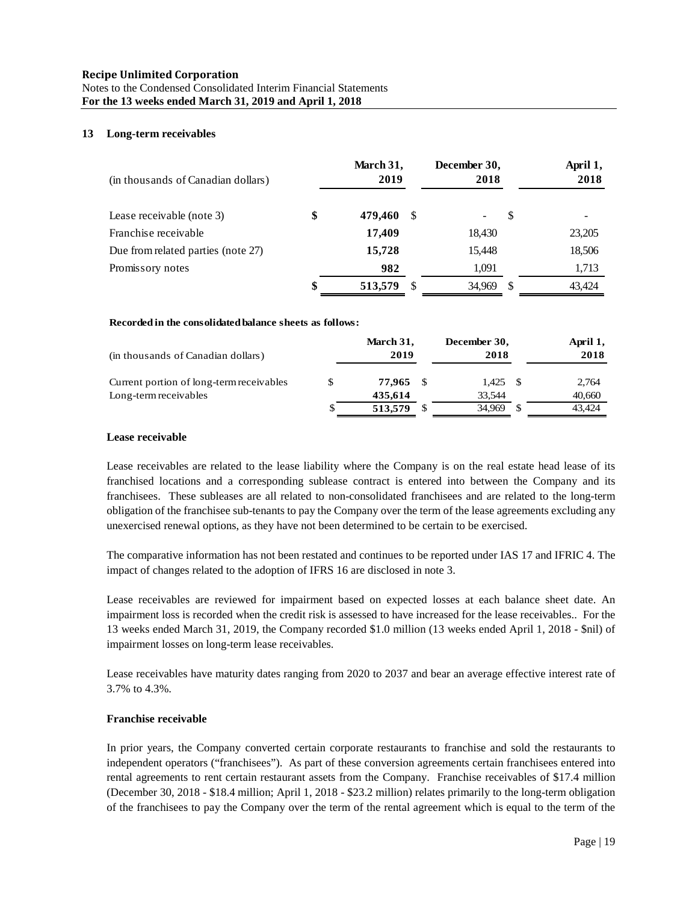### **13 Long-term receivables**

| (in thousands of Canadian dollars) | March 31,<br>2019 |    | December 30,<br>2018 |   | April 1,<br>2018 |
|------------------------------------|-------------------|----|----------------------|---|------------------|
| Lease receivable (note 3)          | \$<br>479,460     | -8 |                      | S | -                |
| Franchise receivable               | 17,409            |    | 18,430               |   | 23,205           |
| Due from related parties (note 27) | 15,728            |    | 15,448               |   | 18,506           |
| Promissory notes                   | 982               |    | 1,091                |   | 1,713            |
|                                    | \$<br>513,579     |    | 34,969               |   | 43.424           |

#### **Recorded in the consolidated balance sheets as follows:**

| (in thousands of Canadian dollars)       |    | March 31,<br>2019 | December 30,<br>2018 |      | April 1,<br>2018 |
|------------------------------------------|----|-------------------|----------------------|------|------------------|
| Current portion of long-term receivables | S  | 77.965 \$         | 1.425                | - \$ | 2,764            |
| Long-term receivables                    |    | 435.614           | 33.544               |      | 40,660           |
|                                          | \$ | 513,579           | 34.969               | - \$ | 43.424           |

## **Lease receivable**

Lease receivables are related to the lease liability where the Company is on the real estate head lease of its franchised locations and a corresponding sublease contract is entered into between the Company and its franchisees. These subleases are all related to non-consolidated franchisees and are related to the long-term obligation of the franchisee sub-tenants to pay the Company over the term of the lease agreements excluding any unexercised renewal options, as they have not been determined to be certain to be exercised.

The comparative information has not been restated and continues to be reported under IAS 17 and IFRIC 4. The impact of changes related to the adoption of IFRS 16 are disclosed in note 3.

Lease receivables are reviewed for impairment based on expected losses at each balance sheet date. An impairment loss is recorded when the credit risk is assessed to have increased for the lease receivables.. For the 13 weeks ended March 31, 2019, the Company recorded \$1.0 million (13 weeks ended April 1, 2018 - \$nil) of impairment losses on long-term lease receivables.

Lease receivables have maturity dates ranging from 2020 to 2037 and bear an average effective interest rate of 3.7% to 4.3%.

#### **Franchise receivable**

In prior years, the Company converted certain corporate restaurants to franchise and sold the restaurants to independent operators ("franchisees"). As part of these conversion agreements certain franchisees entered into rental agreements to rent certain restaurant assets from the Company. Franchise receivables of \$17.4 million (December 30, 2018 - \$18.4 million; April 1, 2018 - \$23.2 million) relates primarily to the long-term obligation of the franchisees to pay the Company over the term of the rental agreement which is equal to the term of the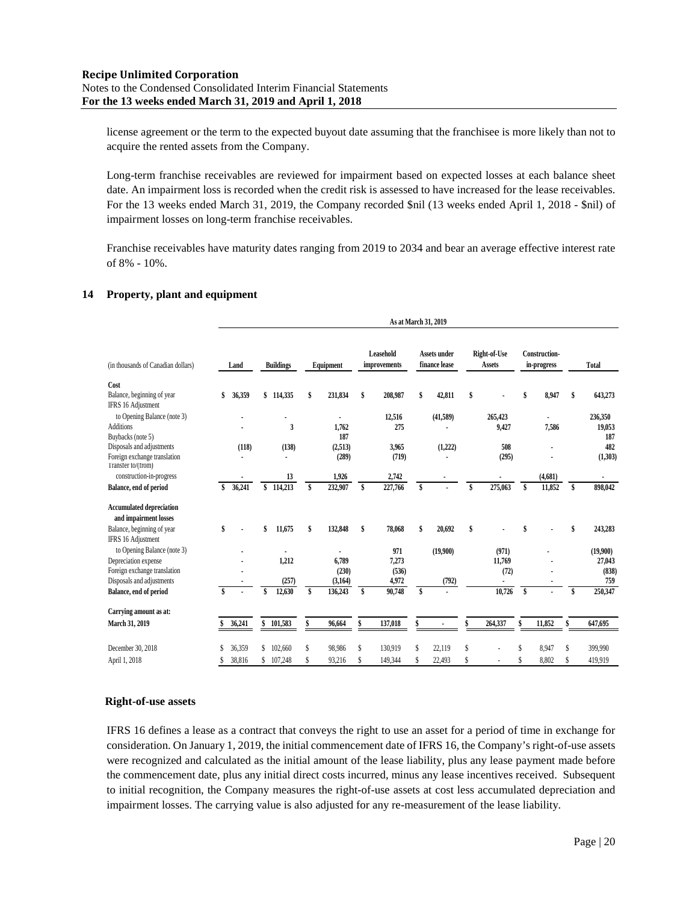license agreement or the term to the expected buyout date assuming that the franchisee is more likely than not to acquire the rented assets from the Company.

Long-term franchise receivables are reviewed for impairment based on expected losses at each balance sheet date. An impairment loss is recorded when the credit risk is assessed to have increased for the lease receivables. For the 13 weeks ended March 31, 2019, the Company recorded \$nil (13 weeks ended April 1, 2018 - \$nil) of impairment losses on long-term franchise receivables.

Franchise receivables have maturity dates ranging from 2019 to 2034 and bear an average effective interest rate of 8% - 10%.

## **14 Property, plant and equipment**

|                                                          | As at March 31, 2019 |    |                  |    |              |    |                                  |    |                                      |    |                               |    |                                     |    |            |
|----------------------------------------------------------|----------------------|----|------------------|----|--------------|----|----------------------------------|----|--------------------------------------|----|-------------------------------|----|-------------------------------------|----|------------|
| (in thousands of Canadian dollars)                       | Land                 |    | <b>Buildings</b> |    | Equipment    |    | <b>Leasehold</b><br>improvements |    | <b>Assets under</b><br>finance lease |    | Right-of-Use<br><b>Assets</b> |    | <b>Construction-</b><br>in-progress |    | Total      |
| Cost                                                     |                      |    |                  |    |              |    |                                  |    |                                      |    |                               |    |                                     |    |            |
| Balance, beginning of year                               | 36,359               |    | \$114,335        | \$ | 231,834      | \$ | 208,987                          | \$ | 42,811                               | \$ |                               | \$ | 8,947                               | \$ | 643,273    |
| IFRS 16 Adjustment                                       |                      |    |                  |    |              |    |                                  |    |                                      |    |                               |    |                                     |    |            |
| to Opening Balance (note 3)                              |                      |    |                  |    |              |    | 12,516                           |    | (41,589)                             |    | 265,423                       |    |                                     |    | 236,350    |
| <b>Additions</b>                                         |                      |    | 3                |    | 1,762<br>187 |    | 275                              |    |                                      |    | 9,427                         |    | 7,586                               |    | 19,053     |
| Buybacks (note 5)<br>Disposals and adjustments           | (118)                |    | (138)            |    | (2,513)      |    | 3,965                            |    | (1,222)                              |    | 508                           |    |                                     |    | 187<br>482 |
| Foreign exchange translation                             |                      |    |                  |    | (289)        |    | (719)                            |    |                                      |    | (295)                         |    |                                     |    | (1,303)    |
| Transfer to/(from)                                       |                      |    |                  |    |              |    |                                  |    |                                      |    |                               |    |                                     |    |            |
| construction-in-progress                                 |                      |    | 13               |    | 1,926        |    | 2,742                            |    |                                      |    |                               |    | (4,681)                             |    |            |
| Balance, end of period                                   | 36,241               | \$ | 114,213          | \$ | 232,907      | \$ | 227,766                          | \$ |                                      | \$ | 275,063                       | \$ | 11,852                              | \$ | 898,042    |
| <b>Accumulated depreciation</b><br>and impairment losses |                      |    |                  |    |              |    |                                  |    |                                      |    |                               |    |                                     |    |            |
| Balance, beginning of year                               | \$                   |    | 11,675           | \$ | 132,848      | \$ | 78,068                           | \$ | 20,692                               | \$ |                               | \$ |                                     | \$ | 243,283    |
| IFRS 16 Adjustment                                       |                      |    |                  |    |              |    |                                  |    |                                      |    |                               |    |                                     |    |            |
| to Opening Balance (note 3)                              |                      |    |                  |    |              |    | 971                              |    | (19,900)                             |    | (971)                         |    |                                     |    | (19,900)   |
| Depreciation expense                                     |                      |    | 1,212            |    | 6,789        |    | 7,273                            |    |                                      |    | 11,769                        |    |                                     |    | 27,043     |
| Foreign exchange translation                             |                      |    |                  |    | (230)        |    | (536)                            |    |                                      |    | (72)                          |    |                                     |    | (838)      |
| Disposals and adjustments                                |                      |    | (257)            |    | (3, 164)     |    | 4,972                            |    | (792)                                |    | ٠                             |    |                                     |    | 759        |
| Balance, end of period                                   |                      |    | 12,630           |    | 136,243      | \$ | 90,748                           | \$ |                                      |    | 10,726                        | \$ |                                     | \$ | 250,347    |
| Carrying amount as at:                                   |                      |    |                  |    |              |    |                                  |    |                                      |    |                               |    |                                     |    |            |
| March 31, 2019                                           | 36,241               | \$ | 101,583          | \$ | 96,664       | \$ | 137,018                          |    |                                      |    | 264,337                       | \$ | 11,852                              | \$ | 647,695    |
| December 30, 2018                                        | 36,359               | S  | 102.660          | \$ | 98,986       | S  | 130,919                          |    | 22,119                               | \$ |                               |    | 8,947                               | S  | 399,990    |
| April 1, 2018                                            | 38,816               |    | 107,248          |    | 93,216       |    | 149,344                          |    | 22,493                               | Ŝ  |                               |    | 8,802                               |    | 419,919    |
|                                                          |                      |    |                  |    |              |    |                                  |    |                                      |    |                               |    |                                     |    |            |

#### **Right-of-use assets**

IFRS 16 defines a lease as a contract that conveys the right to use an asset for a period of time in exchange for consideration. On January 1, 2019, the initial commencement date of IFRS 16, the Company's right-of-use assets were recognized and calculated as the initial amount of the lease liability, plus any lease payment made before the commencement date, plus any initial direct costs incurred, minus any lease incentives received. Subsequent to initial recognition, the Company measures the right-of-use assets at cost less accumulated depreciation and impairment losses. The carrying value is also adjusted for any re-measurement of the lease liability.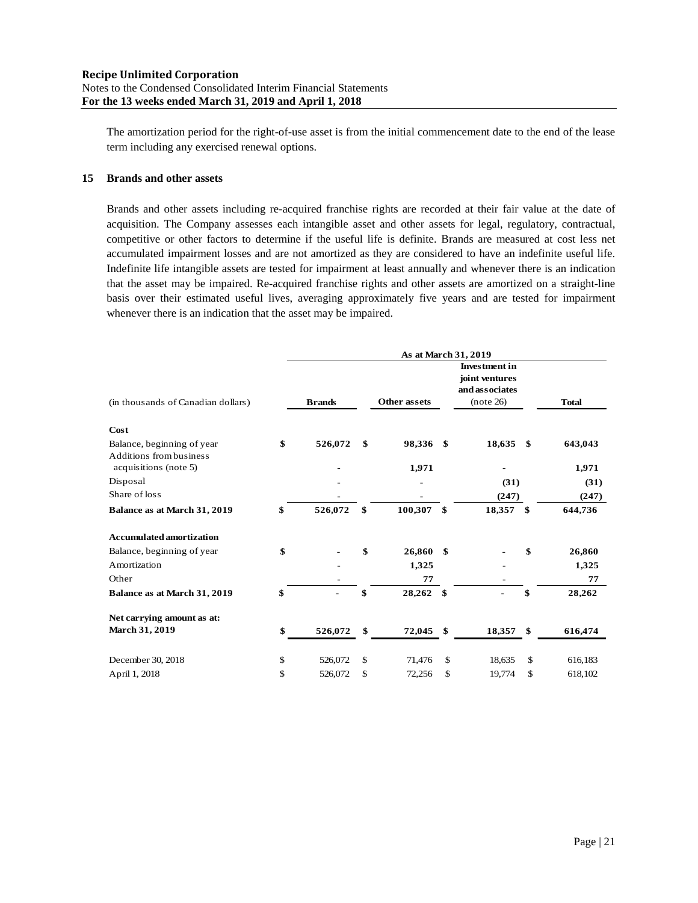The amortization period for the right-of-use asset is from the initial commencement date to the end of the lease term including any exercised renewal options.

## **15 Brands and other assets**

Brands and other assets including re-acquired franchise rights are recorded at their fair value at the date of acquisition. The Company assesses each intangible asset and other assets for legal, regulatory, contractual, competitive or other factors to determine if the useful life is definite. Brands are measured at cost less net accumulated impairment losses and are not amortized as they are considered to have an indefinite useful life. Indefinite life intangible assets are tested for impairment at least annually and whenever there is an indication that the asset may be impaired. Re-acquired franchise rights and other assets are amortized on a straight-line basis over their estimated useful lives, averaging approximately five years and are tested for impairment whenever there is an indication that the asset may be impaired.

|                                                       |               |                     | <b>Investment</b> in<br>joint ventures<br>and associates |               |
|-------------------------------------------------------|---------------|---------------------|----------------------------------------------------------|---------------|
| (in thousands of Canadian dollars)                    | <b>Brands</b> | <b>Other assets</b> | (note 26)                                                | <b>Total</b>  |
| Cost                                                  |               |                     |                                                          |               |
| Balance, beginning of year<br>Additions from business | \$<br>526,072 | \$<br>98,336 \$     | 18,635                                                   | \$<br>643,043 |
| acquisitions (note 5)                                 |               | 1,971               |                                                          | 1,971         |
| Disposal                                              |               |                     | (31)                                                     | (31)          |
| Share of loss                                         |               |                     | (247)                                                    | (247)         |
| Balance as at March 31, 2019                          | \$<br>526,072 | \$<br>100,307       | \$<br>18,357 \$                                          | 644,736       |
| <b>Accumulated amortization</b>                       |               |                     |                                                          |               |
| Balance, beginning of year                            | \$            | \$<br>26,860        | \$                                                       | \$<br>26,860  |
| Amortization                                          |               | 1,325               |                                                          | 1,325         |
| Other                                                 |               | 77                  |                                                          | 77            |
| Balance as at March 31, 2019                          | \$            | \$<br>28,262        | \$                                                       | \$<br>28,262  |
| Net carrying amount as at:                            |               |                     |                                                          |               |
| March 31, 2019                                        | \$<br>526,072 | \$<br>72,045        | \$<br>18,357                                             | \$<br>616,474 |
| December 30, 2018                                     | \$<br>526,072 | \$<br>71,476        | \$<br>18,635                                             | \$<br>616,183 |
| April 1, 2018                                         | \$<br>526,072 | \$<br>72,256        | \$<br>19,774                                             | \$<br>618,102 |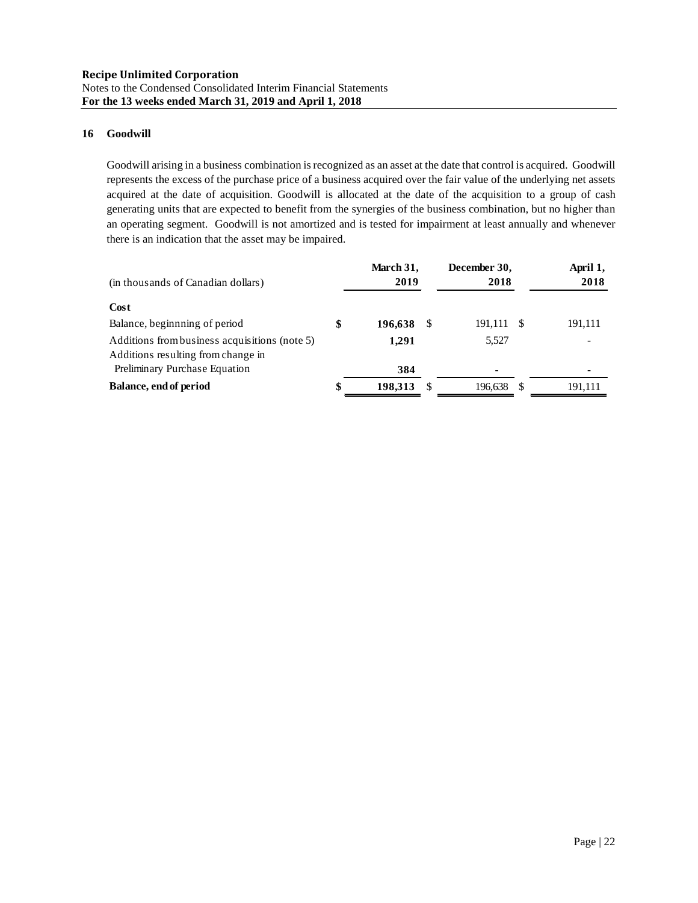## **16 Goodwill**

Goodwill arising in a business combination is recognized as an asset at the date that control is acquired. Goodwill represents the excess of the purchase price of a business acquired over the fair value of the underlying net assets acquired at the date of acquisition. Goodwill is allocated at the date of the acquisition to a group of cash generating units that are expected to benefit from the synergies of the business combination, but no higher than an operating segment. Goodwill is not amortized and is tested for impairment at least annually and whenever there is an indication that the asset may be impaired.

| (in thousands of Canadian dollars)                                                  | March 31,<br>2019 |   | December 30,<br>2018     |      | April 1,<br>2018 |
|-------------------------------------------------------------------------------------|-------------------|---|--------------------------|------|------------------|
| Cost                                                                                |                   |   |                          |      |                  |
| Balance, beginning of period                                                        | \$<br>196,638     | S | 191,111                  | - \$ | 191,111          |
| Additions from business acquisitions (note 5)<br>Additions resulting from change in | 1,291             |   | 5,527                    |      |                  |
| Preliminary Purchase Equation                                                       | 384               |   | $\overline{\phantom{0}}$ |      |                  |
| Balance, end of period                                                              | \$<br>198,313     |   | 196,638                  | - \$ | 191,111          |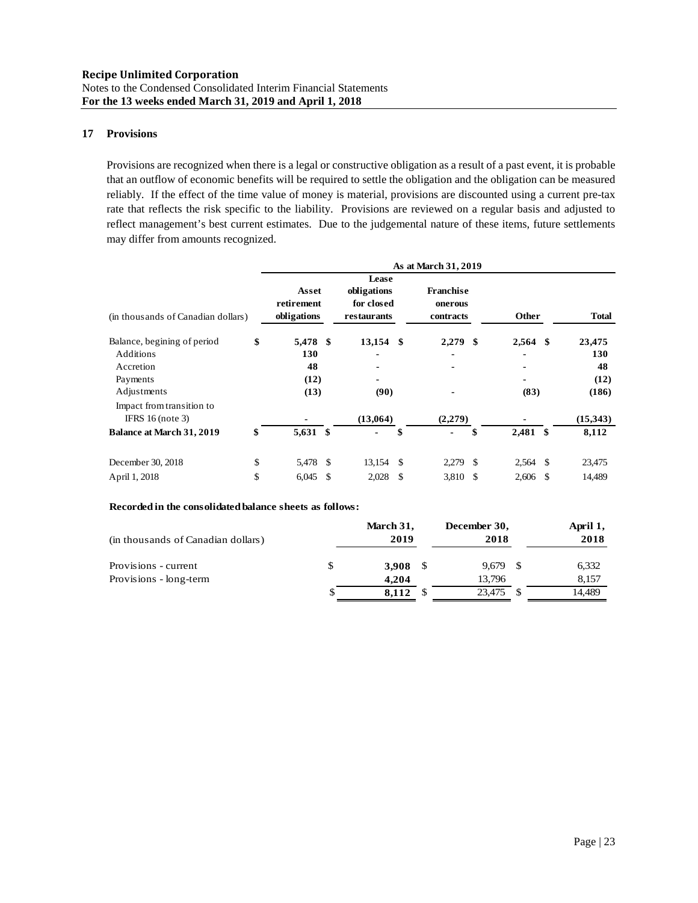## **17 Provisions**

Provisions are recognized when there is a legal or constructive obligation as a result of a past event, it is probable that an outflow of economic benefits will be required to settle the obligation and the obligation can be measured reliably. If the effect of the time value of money is material, provisions are discounted using a current pre-tax rate that reflects the risk specific to the liability. Provisions are reviewed on a regular basis and adjusted to reflect management's best current estimates. Due to the judgemental nature of these items, future settlements may differ from amounts recognized.

|                                    |                                    |               |                                          |    | As at March 31, 2019                     |      |            |              |
|------------------------------------|------------------------------------|---------------|------------------------------------------|----|------------------------------------------|------|------------|--------------|
|                                    |                                    |               | Lease                                    |    |                                          |      |            |              |
| (in thousands of Canadian dollars) | Asset<br>retirement<br>obligations |               | obligations<br>for closed<br>restaurants |    | <b>Franchise</b><br>onerous<br>contracts |      | Other      | <b>Total</b> |
| Balance, begining of period        | \$<br>5,478 \$                     |               | $13,154$ \$                              |    | 2,279                                    | -\$  | $2,564$ \$ | 23,475       |
| Additions                          | 130                                |               | $\blacksquare$                           |    |                                          |      |            | 130          |
| Accretion                          | 48                                 |               |                                          |    |                                          |      |            | 48           |
| Payments                           | (12)                               |               |                                          |    |                                          |      |            | (12)         |
| Adjustments                        | (13)                               |               | (90)                                     |    |                                          |      | (83)       | (186)        |
| Impact from transition to          |                                    |               |                                          |    |                                          |      |            |              |
| IFRS $16$ (note 3)                 |                                    |               | (13,064)                                 |    | (2,279)                                  |      |            | (15,343)     |
| <b>Balance at March 31, 2019</b>   | \$<br>5,631 \$                     |               | -                                        | \$ | -                                        | \$   | $2,481$ \$ | 8,112        |
| December 30, 2018                  | \$<br>5,478 \$                     |               | $13,154$ \$                              |    | 2,279                                    | - \$ | 2,564 \$   | 23,475       |
| April 1, 2018                      | \$<br>6,045                        | <sup>\$</sup> | 2,028                                    | -S | 3,810                                    | -\$  | $2,606$ \$ | 14,489       |

### **Recorded in the consolidated balance sheets as follows:**

| (in thousands of Canadian dollars) |   | March 31,<br>2019 |      | December 30,<br>2018 |      | April 1,<br>2018 |
|------------------------------------|---|-------------------|------|----------------------|------|------------------|
| Provisions - current               | S | 3.908             | - \$ | 9.679                | - \$ | 6,332            |
| Provisions - long-term             |   | 4.204             |      | 13.796               |      | 8.157            |
|                                    | P | 8.112             |      | 23,475               | S    | 14.489           |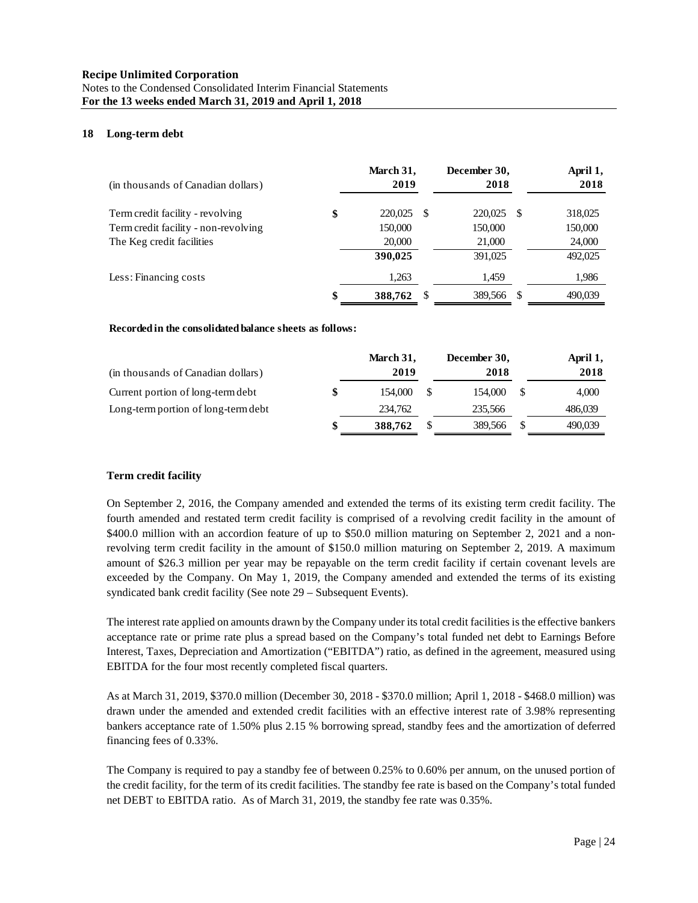### **18 Long-term debt**

| (in thousands of Canadian dollars)   | March 31,<br>2019 |    | December 30,<br>2018 |      | April 1,<br>2018 |
|--------------------------------------|-------------------|----|----------------------|------|------------------|
| Term credit facility - revolving     | \$<br>220,025     | S  | 220,025              | - \$ | 318,025          |
| Term credit facility - non-revolving | 150,000           |    | 150,000              |      | 150,000          |
| The Keg credit facilities            | 20,000            |    | 21,000               |      | 24,000           |
|                                      | 390,025           |    | 391,025              |      | 492,025          |
| Less: Financing costs                | 1,263             |    | 1,459                |      | 1,986            |
|                                      | 388,762           | -S | 389,566              |      | 490,039          |

#### **Recorded in the consolidated balance sheets as follows:**

|                                     | March 31, | December 30, |               | April 1, |
|-------------------------------------|-----------|--------------|---------------|----------|
| (in thousands of Canadian dollars)  | 2019      | 2018         |               | 2018     |
| Current portion of long-term debt   | 154,000   | 154,000      | -S            | 4.000    |
| Long-term portion of long-term debt | 234,762   | 235.566      |               | 486,039  |
|                                     | 388,762   | 389,566      | <sup>\$</sup> | 490.039  |

### **Term credit facility**

On September 2, 2016, the Company amended and extended the terms of its existing term credit facility. The fourth amended and restated term credit facility is comprised of a revolving credit facility in the amount of \$400.0 million with an accordion feature of up to \$50.0 million maturing on September 2, 2021 and a nonrevolving term credit facility in the amount of \$150.0 million maturing on September 2, 2019. A maximum amount of \$26.3 million per year may be repayable on the term credit facility if certain covenant levels are exceeded by the Company. On May 1, 2019, the Company amended and extended the terms of its existing syndicated bank credit facility (See note 29 – Subsequent Events).

The interest rate applied on amounts drawn by the Company under its total credit facilities is the effective bankers acceptance rate or prime rate plus a spread based on the Company's total funded net debt to Earnings Before Interest, Taxes, Depreciation and Amortization ("EBITDA") ratio, as defined in the agreement, measured using EBITDA for the four most recently completed fiscal quarters.

As at March 31, 2019, \$370.0 million (December 30, 2018 - \$370.0 million; April 1, 2018 - \$468.0 million) was drawn under the amended and extended credit facilities with an effective interest rate of 3.98% representing bankers acceptance rate of 1.50% plus 2.15 % borrowing spread, standby fees and the amortization of deferred financing fees of 0.33%.

The Company is required to pay a standby fee of between 0.25% to 0.60% per annum, on the unused portion of the credit facility, for the term of its credit facilities. The standby fee rate is based on the Company's total funded net DEBT to EBITDA ratio. As of March 31, 2019, the standby fee rate was 0.35%.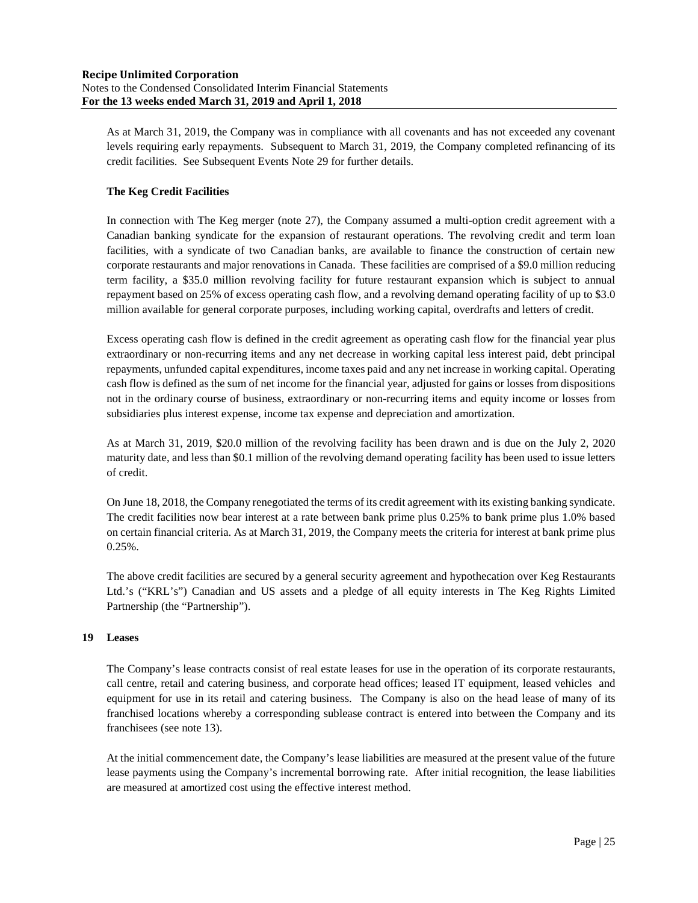As at March 31, 2019, the Company was in compliance with all covenants and has not exceeded any covenant levels requiring early repayments. Subsequent to March 31, 2019, the Company completed refinancing of its credit facilities. See Subsequent Events Note 29 for further details.

## **The Keg Credit Facilities**

In connection with The Keg merger (note 27), the Company assumed a multi-option credit agreement with a Canadian banking syndicate for the expansion of restaurant operations. The revolving credit and term loan facilities, with a syndicate of two Canadian banks, are available to finance the construction of certain new corporate restaurants and major renovations in Canada. These facilities are comprised of a \$9.0 million reducing term facility, a \$35.0 million revolving facility for future restaurant expansion which is subject to annual repayment based on 25% of excess operating cash flow, and a revolving demand operating facility of up to \$3.0 million available for general corporate purposes, including working capital, overdrafts and letters of credit.

Excess operating cash flow is defined in the credit agreement as operating cash flow for the financial year plus extraordinary or non-recurring items and any net decrease in working capital less interest paid, debt principal repayments, unfunded capital expenditures, income taxes paid and any net increase in working capital. Operating cash flow is defined as the sum of net income for the financial year, adjusted for gains or losses from dispositions not in the ordinary course of business, extraordinary or non-recurring items and equity income or losses from subsidiaries plus interest expense, income tax expense and depreciation and amortization.

As at March 31, 2019, \$20.0 million of the revolving facility has been drawn and is due on the July 2, 2020 maturity date, and less than \$0.1 million of the revolving demand operating facility has been used to issue letters of credit.

On June 18, 2018, the Company renegotiated the terms of its credit agreement with its existing banking syndicate. The credit facilities now bear interest at a rate between bank prime plus 0.25% to bank prime plus 1.0% based on certain financial criteria. As at March 31, 2019, the Company meets the criteria for interest at bank prime plus 0.25%.

The above credit facilities are secured by a general security agreement and hypothecation over Keg Restaurants Ltd.'s ("KRL's") Canadian and US assets and a pledge of all equity interests in The Keg Rights Limited Partnership (the "Partnership").

## **19 Leases**

The Company's lease contracts consist of real estate leases for use in the operation of its corporate restaurants, call centre, retail and catering business, and corporate head offices; leased IT equipment, leased vehicles and equipment for use in its retail and catering business. The Company is also on the head lease of many of its franchised locations whereby a corresponding sublease contract is entered into between the Company and its franchisees (see note 13).

At the initial commencement date, the Company's lease liabilities are measured at the present value of the future lease payments using the Company's incremental borrowing rate. After initial recognition, the lease liabilities are measured at amortized cost using the effective interest method.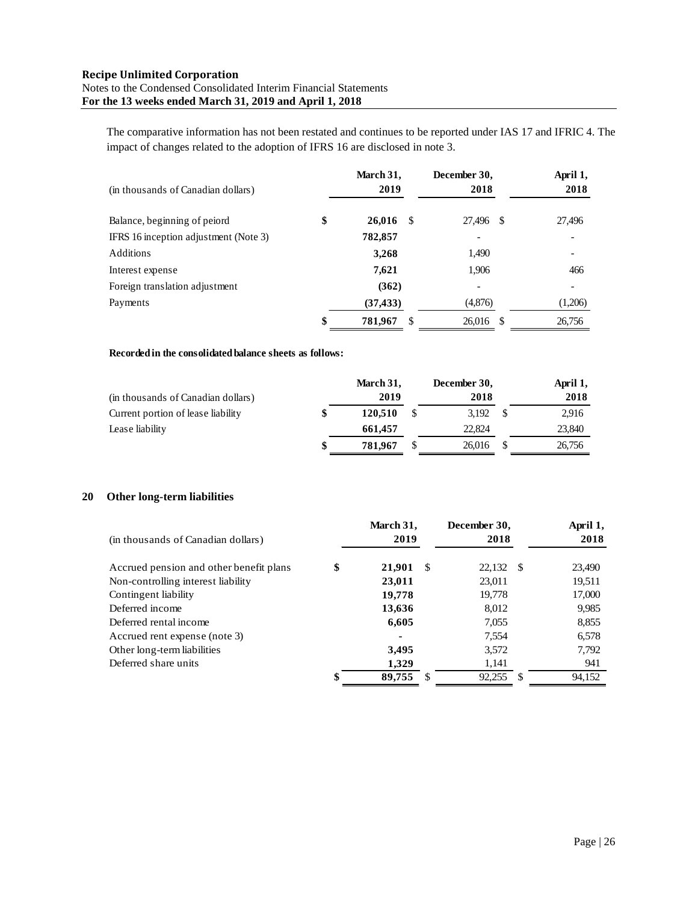The comparative information has not been restated and continues to be reported under IAS 17 and IFRIC 4. The impact of changes related to the adoption of IFRS 16 are disclosed in note 3.

| (in thousands of Canadian dollars)    | March 31,<br>2019   | December 30,<br>2018 | April 1,<br>2018 |
|---------------------------------------|---------------------|----------------------|------------------|
| Balance, beginning of peiord          | \$<br>26,016<br>-8  | 27,496 \$            | 27,496           |
| IFRS 16 inception adjustment (Note 3) | 782,857             |                      |                  |
| Additions                             | 3,268               | 1,490                |                  |
| Interest expense                      | 7,621               | 1,906                | 466              |
| Foreign translation adjustment        | (362)               |                      |                  |
| Payments                              | (37, 433)           | (4,876)              | (1,206)          |
|                                       | \$<br>781,967<br>S. | 26.016 \$            | 26,756           |

## **Recorded in the consolidated balance sheets as follows:**

|                                    | March 31,     | December 30, |     | April 1, |
|------------------------------------|---------------|--------------|-----|----------|
| (in thousands of Canadian dollars) | 2019          | 2018         |     | 2018     |
| Current portion of lease liability | 120.510       | 3.192        | - S | 2.916    |
| Lease liability                    | 661.457       | 22,824       |     | 23,840   |
|                                    | \$<br>781.967 | 26,016       |     | 26.756   |

## **20 Other long-term liabilities**

| (in thousands of Canadian dollars)      | March 31,<br>2019  | December 30,<br>2018 |    | April 1,<br>2018 |
|-----------------------------------------|--------------------|----------------------|----|------------------|
| Accrued pension and other benefit plans | \$<br>-S<br>21.901 | 22,132 \$            |    | 23,490           |
| Non-controlling interest liability      | 23,011             | 23,011               |    | 19,511           |
| Contingent liability                    | 19,778             | 19,778               |    | 17,000           |
| Deferred income                         | 13,636             | 8,012                |    | 9,985            |
| Deferred rental income                  | 6,605              | 7,055                |    | 8,855            |
| Accrued rent expense (note 3)           | $\blacksquare$     | 7,554                |    | 6,578            |
| Other long-term liabilities             | 3,495              | 3,572                |    | 7,792            |
| Deferred share units                    | 1.329              | 1,141                |    | 941              |
|                                         | \$<br>89,755       | 92,255               | -S | 94.152           |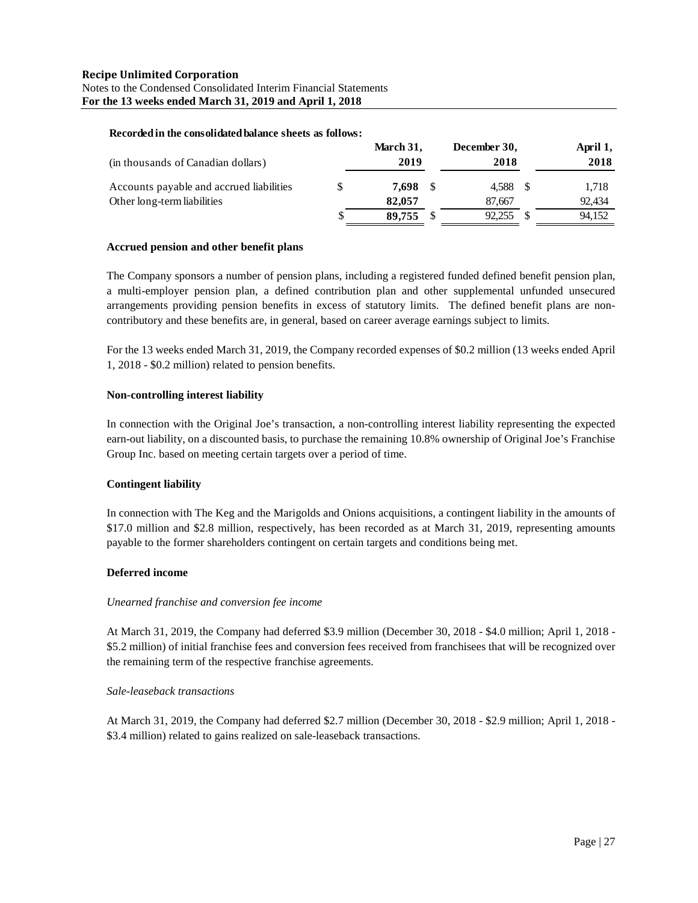#### **Recorded in the consolidated balance sheets as follows:**

| (in thousands of Canadian dollars)       | March 31,<br>2019 | December 30,<br>2018 | April 1,<br>2018 |
|------------------------------------------|-------------------|----------------------|------------------|
| Accounts payable and accrued liabilities | 7.698             | 4.588 \$             | 1.718            |
| Other long-term liabilities              | 82,057            | 87.667               | 92.434           |
|                                          | 89.755            | 92.255               | 94,152           |

#### **Accrued pension and other benefit plans**

The Company sponsors a number of pension plans, including a registered funded defined benefit pension plan, a multi-employer pension plan, a defined contribution plan and other supplemental unfunded unsecured arrangements providing pension benefits in excess of statutory limits. The defined benefit plans are noncontributory and these benefits are, in general, based on career average earnings subject to limits.

For the 13 weeks ended March 31, 2019, the Company recorded expenses of \$0.2 million (13 weeks ended April 1, 2018 - \$0.2 million) related to pension benefits.

#### **Non-controlling interest liability**

In connection with the Original Joe's transaction, a non-controlling interest liability representing the expected earn-out liability, on a discounted basis, to purchase the remaining 10.8% ownership of Original Joe's Franchise Group Inc. based on meeting certain targets over a period of time.

#### **Contingent liability**

In connection with The Keg and the Marigolds and Onions acquisitions, a contingent liability in the amounts of \$17.0 million and \$2.8 million, respectively, has been recorded as at March 31, 2019, representing amounts payable to the former shareholders contingent on certain targets and conditions being met.

#### **Deferred income**

#### *Unearned franchise and conversion fee income*

At March 31, 2019, the Company had deferred \$3.9 million (December 30, 2018 - \$4.0 million; April 1, 2018 - \$5.2 million) of initial franchise fees and conversion fees received from franchisees that will be recognized over the remaining term of the respective franchise agreements.

#### *Sale-leaseback transactions*

At March 31, 2019, the Company had deferred \$2.7 million (December 30, 2018 - \$2.9 million; April 1, 2018 - \$3.4 million) related to gains realized on sale-leaseback transactions.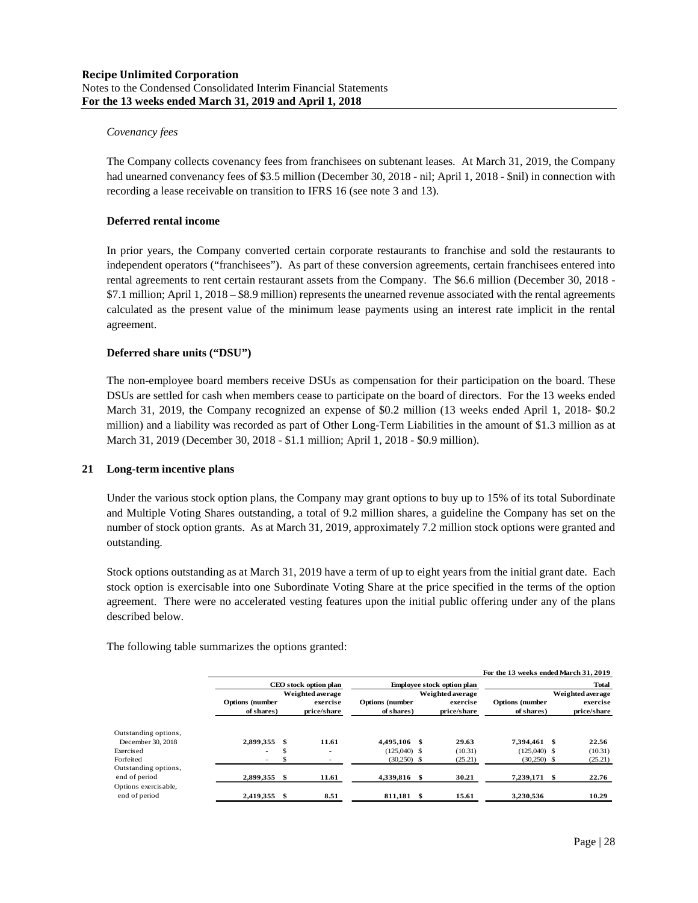### *Covenancy fees*

The Company collects covenancy fees from franchisees on subtenant leases. At March 31, 2019, the Company had unearned convenancy fees of \$3.5 million (December 30, 2018 - nil; April 1, 2018 - \$nil) in connection with recording a lease receivable on transition to IFRS 16 (see note 3 and 13).

## **Deferred rental income**

In prior years, the Company converted certain corporate restaurants to franchise and sold the restaurants to independent operators ("franchisees"). As part of these conversion agreements, certain franchisees entered into rental agreements to rent certain restaurant assets from the Company. The \$6.6 million (December 30, 2018 - \$7.1 million; April 1, 2018 – \$8.9 million) represents the unearned revenue associated with the rental agreements calculated as the present value of the minimum lease payments using an interest rate implicit in the rental agreement.

## **Deferred share units ("DSU")**

The non-employee board members receive DSUs as compensation for their participation on the board. These DSUs are settled for cash when members cease to participate on the board of directors. For the 13 weeks ended March 31, 2019, the Company recognized an expense of \$0.2 million (13 weeks ended April 1, 2018- \$0.2 million) and a liability was recorded as part of Other Long-Term Liabilities in the amount of \$1.3 million as at March 31, 2019 (December 30, 2018 - \$1.1 million; April 1, 2018 - \$0.9 million).

#### **21 Long-term incentive plans**

Under the various stock option plans, the Company may grant options to buy up to 15% of its total Subordinate and Multiple Voting Shares outstanding, a total of 9.2 million shares, a guideline the Company has set on the number of stock option grants. As at March 31, 2019, approximately 7.2 million stock options were granted and outstanding.

Stock options outstanding as at March 31, 2019 have a term of up to eight years from the initial grant date. Each stock option is exercisable into one Subordinate Voting Share at the price specified in the terms of the option agreement. There were no accelerated vesting features upon the initial public offering under any of the plans described below.

The following table summarizes the options granted:

|                                       |                          |      |                  |                        |                                   |                  | For the 13 weeks ended March 31, 2019 |              |             |  |
|---------------------------------------|--------------------------|------|------------------|------------------------|-----------------------------------|------------------|---------------------------------------|--------------|-------------|--|
|                                       | CEO stock option plan    |      |                  |                        | <b>Employee stock option plan</b> |                  |                                       | <b>Total</b> |             |  |
|                                       |                          |      | Weighted average |                        |                                   | Weighted average | Weighted average                      |              |             |  |
|                                       | <b>Options</b> (number   |      | exercise         | <b>Options</b> (number | exercise                          |                  | <b>Options</b> (number                |              | exercise    |  |
|                                       | of shares)               |      | price/share      | of shares)             |                                   | price/share      | of shares)                            |              | price/share |  |
| Outstanding options,                  |                          |      |                  |                        |                                   |                  |                                       |              |             |  |
| December 30, 2018                     | 2,899,355                | \$   | 11.61            | 4.495.106 \$           |                                   | 29.63            | 7.394.461 \$                          |              | 22.56       |  |
| Exercised                             | $\overline{\phantom{a}}$ |      | ۰                | $(125.040)$ \$         |                                   | (10.31)          | $(125,040)$ \$                        |              | (10.31)     |  |
| Forfeited                             | $\sim$                   |      |                  | $(30,250)$ \$          |                                   | (25.21)          | $(30,250)$ \$                         |              | (25.21)     |  |
| Outstanding options,                  |                          |      |                  |                        |                                   |                  |                                       |              |             |  |
| end of period                         | 2,899,355                | - \$ | 11.61            | 4,339,816 \$           |                                   | 30.21            | 7,239,171 \$                          |              | 22.76       |  |
| Options exercisable,<br>end of period | 2,419,355                | S    | 8.51             | 811,181 \$             |                                   | 15.61            | 3,230,536                             |              | 10.29       |  |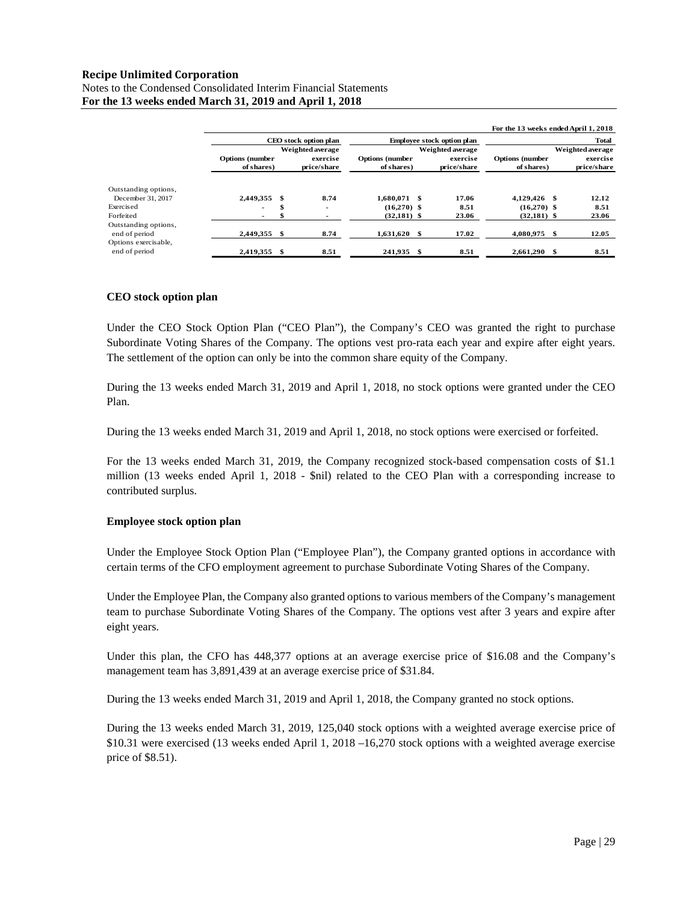## **Recipe Unlimited Corporation** Notes to the Condensed Consolidated Interim Financial Statements **For the 13 weeks ended March 31, 2019 and April 1, 2018**

|                                                               |              |                                                                          |                          |                        |                                   |                  | For the 13 weeks ended April 1, 2018 |                  |
|---------------------------------------------------------------|--------------|--------------------------------------------------------------------------|--------------------------|------------------------|-----------------------------------|------------------|--------------------------------------|------------------|
|                                                               |              | CEO stock option plan                                                    |                          |                        | <b>Employee stock option plan</b> |                  |                                      | <b>Total</b>     |
|                                                               |              | Weighted average                                                         |                          |                        |                                   | Weighted average |                                      | Weighted average |
|                                                               |              | <b>Options</b> (number<br><b>Options</b> (number<br>exercise<br>exercise |                          | <b>Options</b> (number | exercise                          |                  |                                      |                  |
|                                                               | of shares)   |                                                                          | price/share              | of shares)             |                                   | price/share      | of shares)                           | price/share      |
| Outstanding options,                                          |              |                                                                          |                          |                        |                                   |                  |                                      |                  |
| December 31, 2017                                             | 2.449.355 \$ |                                                                          | 8.74                     | 1.680.071 \$           |                                   | 17.06            | 4.129.426 \$                         | 12.12            |
| Exercised                                                     | ۰            | \$                                                                       | $\overline{\phantom{a}}$ | $(16.270)$ \$          |                                   | 8.51             | $(16,270)$ \$                        | 8.51             |
| Forfeited                                                     |              |                                                                          |                          | $(32,181)$ \$          |                                   | 23.06            | $(32,181)$ \$                        | 23.06            |
| Outstanding options,<br>end of period<br>Options exercisable, | 2.449.355 \$ |                                                                          | 8.74                     | $1.631.620$ \$         |                                   | 17.02            | 4.080.975<br>- \$                    | 12.05            |
| end of period                                                 | 2,419,355 \$ |                                                                          | 8.51                     | 241.935 \$             |                                   | 8.51             | 2,661,290                            | 8.51             |

#### **CEO stock option plan**

Under the CEO Stock Option Plan ("CEO Plan"), the Company's CEO was granted the right to purchase Subordinate Voting Shares of the Company. The options vest pro-rata each year and expire after eight years. The settlement of the option can only be into the common share equity of the Company.

During the 13 weeks ended March 31, 2019 and April 1, 2018, no stock options were granted under the CEO Plan.

During the 13 weeks ended March 31, 2019 and April 1, 2018, no stock options were exercised or forfeited.

For the 13 weeks ended March 31, 2019, the Company recognized stock-based compensation costs of \$1.1 million (13 weeks ended April 1, 2018 - \$nil) related to the CEO Plan with a corresponding increase to contributed surplus.

## **Employee stock option plan**

Under the Employee Stock Option Plan ("Employee Plan"), the Company granted options in accordance with certain terms of the CFO employment agreement to purchase Subordinate Voting Shares of the Company.

Under the Employee Plan, the Company also granted options to various members of the Company's management team to purchase Subordinate Voting Shares of the Company. The options vest after 3 years and expire after eight years.

Under this plan, the CFO has 448,377 options at an average exercise price of \$16.08 and the Company's management team has 3,891,439 at an average exercise price of \$31.84.

During the 13 weeks ended March 31, 2019 and April 1, 2018, the Company granted no stock options.

During the 13 weeks ended March 31, 2019, 125,040 stock options with a weighted average exercise price of \$10.31 were exercised (13 weeks ended April 1, 2018 –16,270 stock options with a weighted average exercise price of \$8.51).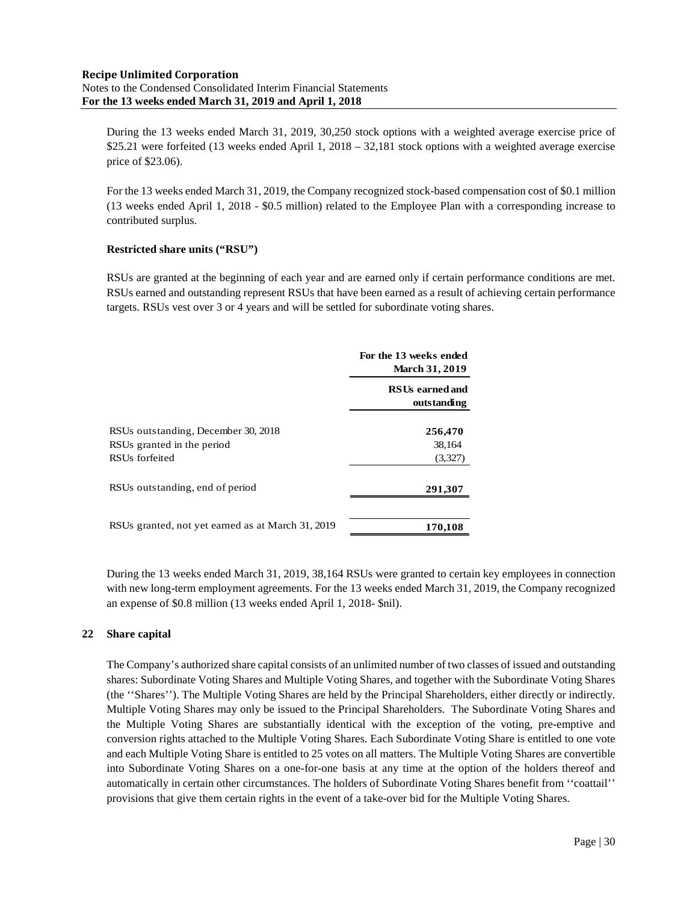During the 13 weeks ended March 31, 2019, 30,250 stock options with a weighted average exercise price of \$25.21 were forfeited (13 weeks ended April 1, 2018 – 32,181 stock options with a weighted average exercise price of \$23.06).

For the 13 weeks ended March 31, 2019, the Company recognized stock-based compensation cost of \$0.1 million (13 weeks ended April 1, 2018 - \$0.5 million) related to the Employee Plan with a corresponding increase to contributed surplus.

## **Restricted share units ("RSU")**

RSUs are granted at the beginning of each year and are earned only if certain performance conditions are met. RSUs earned and outstanding represent RSUs that have been earned as a result of achieving certain performance targets. RSUs vest over 3 or 4 years and will be settled for subordinate voting shares.

|                                                   | For the 13 weeks ended<br><b>March 31, 2019</b> |  |  |
|---------------------------------------------------|-------------------------------------------------|--|--|
|                                                   | <b>RSUs earned and</b><br>outstanding           |  |  |
| RSUs outstanding, December 30, 2018               | 256,470                                         |  |  |
| RSUs granted in the period                        | 38,164                                          |  |  |
| RSU <sub>s</sub> forfeited                        | (3,327)                                         |  |  |
| RSUs outstanding, end of period                   | 291,307                                         |  |  |
| RSUs granted, not yet earned as at March 31, 2019 | 170,108                                         |  |  |

During the 13 weeks ended March 31, 2019, 38,164 RSUs were granted to certain key employees in connection with new long-term employment agreements. For the 13 weeks ended March 31, 2019, the Company recognized an expense of \$0.8 million (13 weeks ended April 1, 2018- \$nil).

## **22 Share capital**

The Company's authorized share capital consists of an unlimited number of two classes of issued and outstanding shares: Subordinate Voting Shares and Multiple Voting Shares, and together with the Subordinate Voting Shares (the ''Shares''). The Multiple Voting Shares are held by the Principal Shareholders, either directly or indirectly. Multiple Voting Shares may only be issued to the Principal Shareholders. The Subordinate Voting Shares and the Multiple Voting Shares are substantially identical with the exception of the voting, pre-emptive and conversion rights attached to the Multiple Voting Shares. Each Subordinate Voting Share is entitled to one vote and each Multiple Voting Share is entitled to 25 votes on all matters. The Multiple Voting Shares are convertible into Subordinate Voting Shares on a one-for-one basis at any time at the option of the holders thereof and automatically in certain other circumstances. The holders of Subordinate Voting Shares benefit from ''coattail'' provisions that give them certain rights in the event of a take-over bid for the Multiple Voting Shares.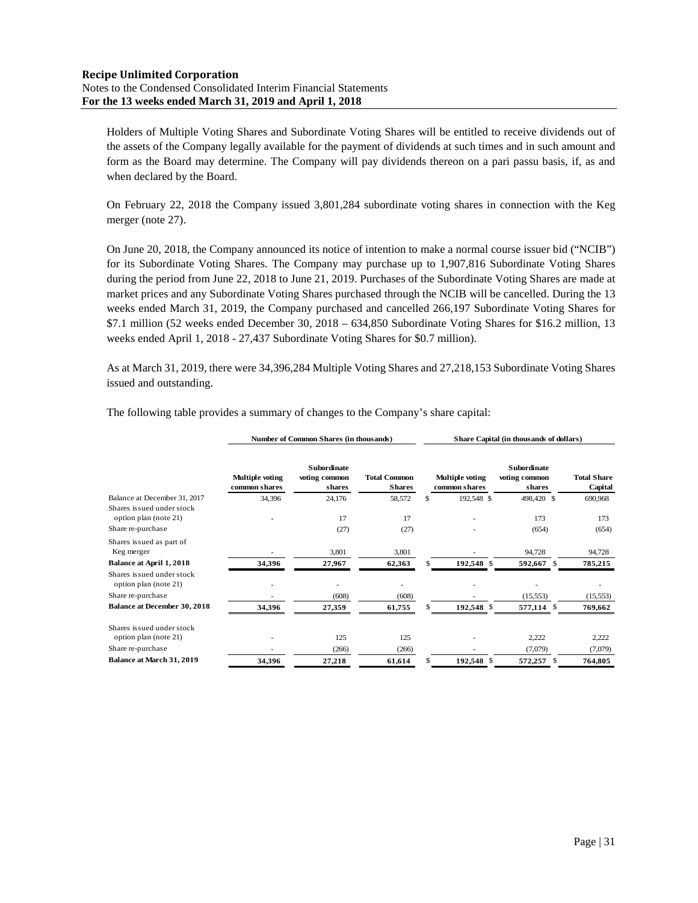Holders of Multiple Voting Shares and Subordinate Voting Shares will be entitled to receive dividends out of the assets of the Company legally available for the payment of dividends at such times and in such amount and form as the Board may determine. The Company will pay dividends thereon on a pari passu basis, if, as and when declared by the Board.

On February 22, 2018 the Company issued 3,801,284 subordinate voting shares in connection with the Keg merger (note 27).

On June 20, 2018, the Company announced its notice of intention to make a normal course issuer bid ("NCIB") for its Subordinate Voting Shares. The Company may purchase up to 1,907,816 Subordinate Voting Shares during the period from June 22, 2018 to June 21, 2019. Purchases of the Subordinate Voting Shares are made at market prices and any Subordinate Voting Shares purchased through the NCIB will be cancelled. During the 13 weeks ended March 31, 2019, the Company purchased and cancelled 266,197 Subordinate Voting Shares for \$7.1 million (52 weeks ended December 30, 2018 – 634,850 Subordinate Voting Shares for \$16.2 million, 13 weeks ended April 1, 2018 - 27,437 Subordinate Voting Shares for \$0.7 million).

As at March 31, 2019, there were 34,396,284 Multiple Voting Shares and 27,218,153 Subordinate Voting Shares issued and outstanding.

**Number of Common Shares (in thousands) Share Capital (in thousands of dollars)**

|                                                    |                                  | $1\,\mathrm{d}$ and $\mathrm{d}$ common phares (in thousands) |                                      |  |                                  | $\beta$ hard $\alpha$ capital (in thousands of domains) |                               |  |  |  |  |
|----------------------------------------------------|----------------------------------|---------------------------------------------------------------|--------------------------------------|--|----------------------------------|---------------------------------------------------------|-------------------------------|--|--|--|--|
|                                                    | Multiple voting<br>common shares | <b>Subordinate</b><br>voting common<br>shares                 | <b>Total Common</b><br><b>Shares</b> |  | Multiple voting<br>common shares | <b>Subordinate</b><br>voting common<br>shares           | <b>Total Share</b><br>Capital |  |  |  |  |
| Balance at December 31, 2017                       | 34,396                           | 24,176                                                        | 58,572                               |  | 192,548 \$                       | 498,420 \$                                              | 690,968                       |  |  |  |  |
| Shares issued under stock                          |                                  |                                                               |                                      |  |                                  |                                                         |                               |  |  |  |  |
| option plan (note 21)                              |                                  | 17                                                            | 17                                   |  |                                  | 173                                                     | 173                           |  |  |  |  |
| Share re-purchase                                  |                                  | (27)                                                          | (27)                                 |  |                                  | (654)                                                   | (654)                         |  |  |  |  |
| Shares issued as part of                           |                                  |                                                               |                                      |  |                                  |                                                         |                               |  |  |  |  |
| Keg merger                                         |                                  | 3,801                                                         | 3,801                                |  |                                  | 94,728                                                  | 94,728                        |  |  |  |  |
| Balance at April 1, 2018                           | 34,396                           | 27,967                                                        | 62,363                               |  | 192,548 \$                       | 592,667 \$                                              | 785,215                       |  |  |  |  |
| Shares issued under stock<br>option plan (note 21) |                                  |                                                               |                                      |  |                                  |                                                         |                               |  |  |  |  |
| Share re-purchase                                  |                                  | (608)                                                         | (608)                                |  |                                  | (15, 553)                                               | (15, 553)                     |  |  |  |  |
| <b>Balance at December 30, 2018</b>                | 34,396                           | 27,359                                                        | 61,755                               |  | 192,548 \$                       | 577,114 \$                                              | 769,662                       |  |  |  |  |
| Shares issued under stock                          |                                  |                                                               |                                      |  |                                  |                                                         |                               |  |  |  |  |
| option plan (note 21)                              |                                  | 125                                                           | 125                                  |  |                                  | 2,222                                                   | 2,222                         |  |  |  |  |
| Share re-purchase                                  |                                  | (266)                                                         | (266)                                |  |                                  | (7,079)                                                 | (7,079)                       |  |  |  |  |
| Balance at March 31, 2019                          | 34,396                           | 27,218                                                        | 61,614                               |  | 192,548 \$                       | 572,257 \$                                              | 764,805                       |  |  |  |  |

The following table provides a summary of changes to the Company's share capital: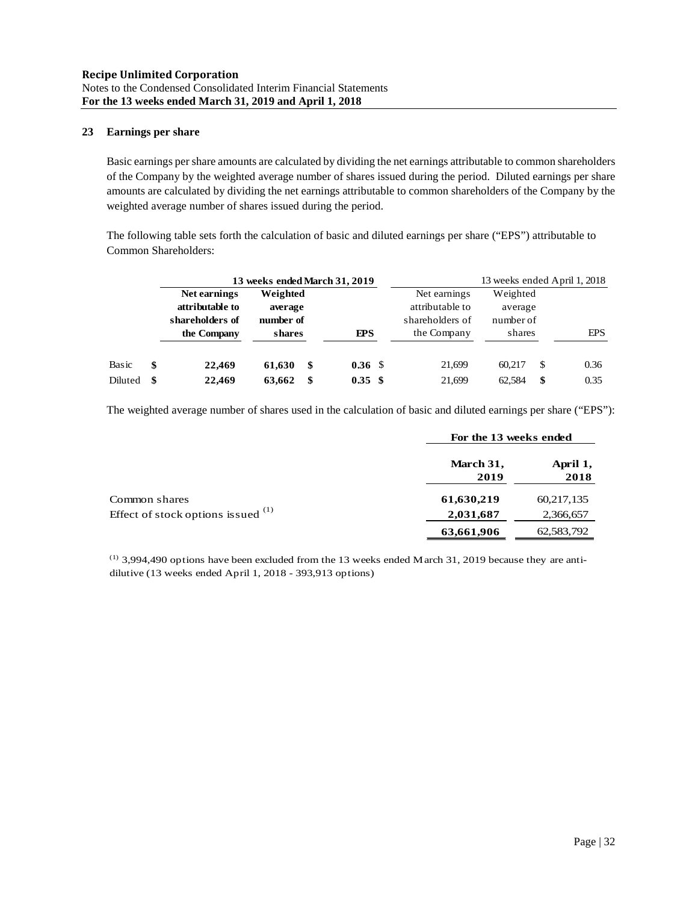## **23 Earnings per share**

Basic earnings per share amounts are calculated by dividing the net earnings attributable to common shareholders of the Company by the weighted average number of shares issued during the period. Diluted earnings per share amounts are calculated by dividing the net earnings attributable to common shareholders of the Company by the weighted average number of shares issued during the period.

The following table sets forth the calculation of basic and diluted earnings per share ("EPS") attributable to Common Shareholders:

|         |     |                 | 13 weeks ended March 31, 2019 |                    |                 | 13 weeks ended April 1, 2018 |    |            |  |  |
|---------|-----|-----------------|-------------------------------|--------------------|-----------------|------------------------------|----|------------|--|--|
|         |     | Net earnings    | Weighted                      |                    | Net earnings    | Weighted                     |    |            |  |  |
|         |     | attributable to | average                       |                    | attributable to | average                      |    |            |  |  |
|         |     | shareholders of | number of                     |                    | shareholders of | number of                    |    |            |  |  |
|         |     | the Company     | shares                        | <b>FPS</b>         | the Company     | shares                       |    | <b>EPS</b> |  |  |
|         |     |                 |                               |                    |                 |                              |    |            |  |  |
| Basic   | \$  | 22.469          | 61.630<br>S                   | 0.36 <sup>5</sup>  | 21.699          | 60.217                       | -S | 0.36       |  |  |
| Diluted | -\$ | 22.469          | 63.662<br>S                   | $0.35 \text{ }$ \$ | 21.699          | 62.584                       | \$ | 0.35       |  |  |

The weighted average number of shares used in the calculation of basic and diluted earnings per share ("EPS"):

|                                      | For the 13 weeks ended |                  |
|--------------------------------------|------------------------|------------------|
|                                      | March 31,<br>2019      | April 1,<br>2018 |
| Common shares                        | 61,630,219             | 60,217,135       |
| Effect of stock options issued $(1)$ | 2,031,687              | 2,366,657        |
|                                      | 63,661,906             | 62,583,792       |

 $(1)$  3,994,490 options have been excluded from the 13 weeks ended March 31, 2019 because they are antidilutive (13 weeks ended April 1, 2018 - 393,913 options)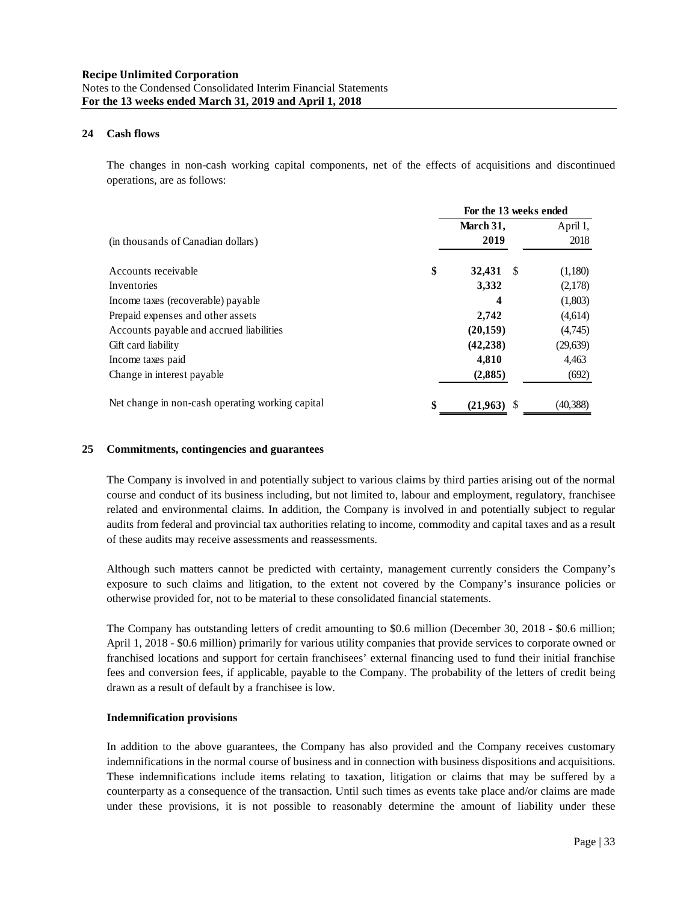### **24 Cash flows**

The changes in non-cash working capital components, net of the effects of acquisitions and discontinued operations, are as follows:

|                                                  | For the 13 weeks ended |           |  |  |
|--------------------------------------------------|------------------------|-----------|--|--|
|                                                  | March 31,              | April 1,  |  |  |
| (in thousands of Canadian dollars)               | 2019                   | 2018      |  |  |
| Accounts receivable                              | \$<br>32,431<br>-S     | (1,180)   |  |  |
| Inventories                                      | 3,332                  | (2,178)   |  |  |
| Income taxes (recoverable) payable               | 4                      | (1,803)   |  |  |
| Prepaid expenses and other assets                | 2,742                  | (4,614)   |  |  |
| Accounts payable and accrued liabilities         | (20, 159)              | (4,745)   |  |  |
| Gift card liability                              | (42, 238)              | (29, 639) |  |  |
| Income taxes paid                                | 4,810                  | 4,463     |  |  |
| Change in interest payable                       | (2,885)                | (692)     |  |  |
| Net change in non-cash operating working capital | \$<br>$(21.963)$ \$    | (40,388)  |  |  |

#### **25 Commitments, contingencies and guarantees**

The Company is involved in and potentially subject to various claims by third parties arising out of the normal course and conduct of its business including, but not limited to, labour and employment, regulatory, franchisee related and environmental claims. In addition, the Company is involved in and potentially subject to regular audits from federal and provincial tax authorities relating to income, commodity and capital taxes and as a result of these audits may receive assessments and reassessments.

Although such matters cannot be predicted with certainty, management currently considers the Company's exposure to such claims and litigation, to the extent not covered by the Company's insurance policies or otherwise provided for, not to be material to these consolidated financial statements.

The Company has outstanding letters of credit amounting to \$0.6 million (December 30, 2018 - \$0.6 million; April 1, 2018 - \$0.6 million) primarily for various utility companies that provide services to corporate owned or franchised locations and support for certain franchisees' external financing used to fund their initial franchise fees and conversion fees, if applicable, payable to the Company. The probability of the letters of credit being drawn as a result of default by a franchisee is low.

#### **Indemnification provisions**

In addition to the above guarantees, the Company has also provided and the Company receives customary indemnifications in the normal course of business and in connection with business dispositions and acquisitions. These indemnifications include items relating to taxation, litigation or claims that may be suffered by a counterparty as a consequence of the transaction. Until such times as events take place and/or claims are made under these provisions, it is not possible to reasonably determine the amount of liability under these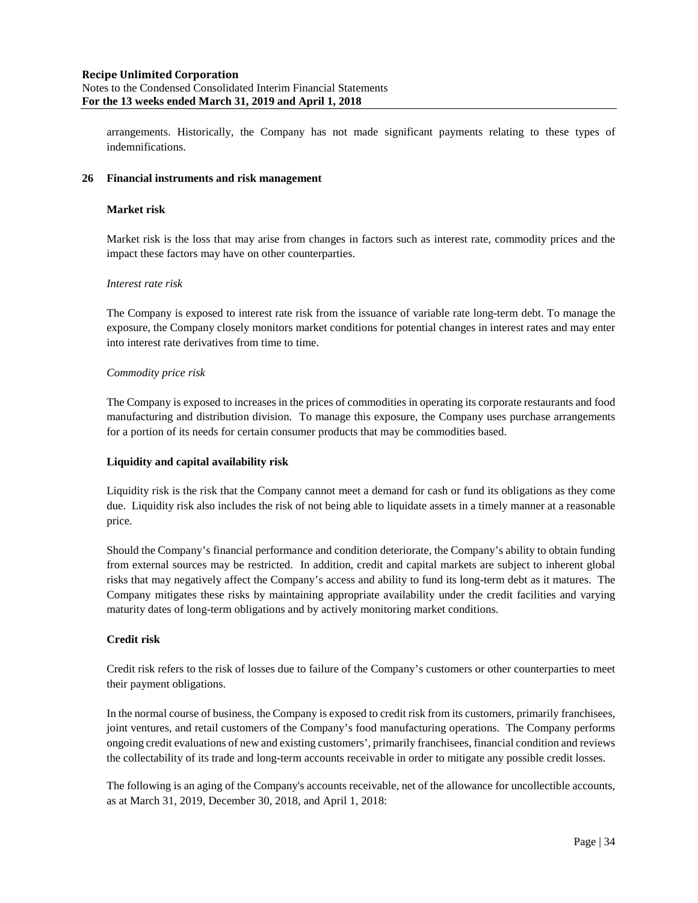arrangements. Historically, the Company has not made significant payments relating to these types of indemnifications.

### **26 Financial instruments and risk management**

### **Market risk**

Market risk is the loss that may arise from changes in factors such as interest rate, commodity prices and the impact these factors may have on other counterparties.

## *Interest rate risk*

The Company is exposed to interest rate risk from the issuance of variable rate long-term debt. To manage the exposure, the Company closely monitors market conditions for potential changes in interest rates and may enter into interest rate derivatives from time to time.

## *Commodity price risk*

The Company is exposed to increases in the prices of commodities in operating its corporate restaurants and food manufacturing and distribution division. To manage this exposure, the Company uses purchase arrangements for a portion of its needs for certain consumer products that may be commodities based.

## **Liquidity and capital availability risk**

Liquidity risk is the risk that the Company cannot meet a demand for cash or fund its obligations as they come due. Liquidity risk also includes the risk of not being able to liquidate assets in a timely manner at a reasonable price.

Should the Company's financial performance and condition deteriorate, the Company's ability to obtain funding from external sources may be restricted. In addition, credit and capital markets are subject to inherent global risks that may negatively affect the Company's access and ability to fund its long-term debt as it matures. The Company mitigates these risks by maintaining appropriate availability under the credit facilities and varying maturity dates of long-term obligations and by actively monitoring market conditions.

## **Credit risk**

Credit risk refers to the risk of losses due to failure of the Company's customers or other counterparties to meet their payment obligations.

In the normal course of business, the Company is exposed to credit risk from its customers, primarily franchisees, joint ventures, and retail customers of the Company's food manufacturing operations. The Company performs ongoing credit evaluations of new and existing customers', primarily franchisees, financial condition and reviews the collectability of its trade and long-term accounts receivable in order to mitigate any possible credit losses.

The following is an aging of the Company's accounts receivable, net of the allowance for uncollectible accounts, as at March 31, 2019, December 30, 2018, and April 1, 2018: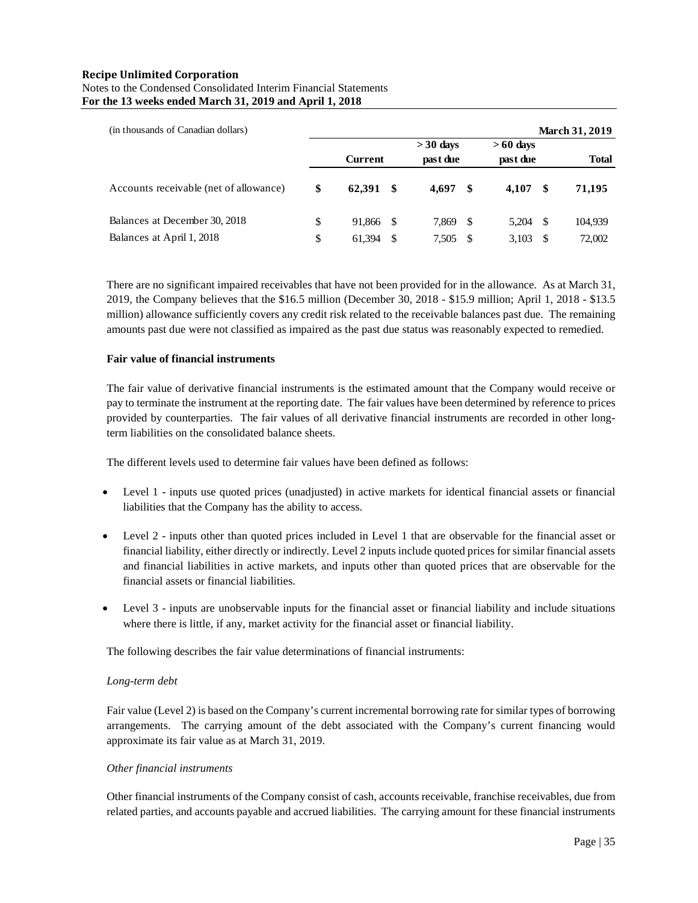## **Recipe Unlimited Corporation** Notes to the Condensed Consolidated Interim Financial Statements **For the 13 weeks ended March 31, 2019 and April 1, 2018**

| (in thousands of Canadian dollars)     |                 |    |                        |     |                        |     | March 31, 2019 |
|----------------------------------------|-----------------|----|------------------------|-----|------------------------|-----|----------------|
|                                        | <b>Current</b>  |    | $>30$ days<br>past due |     | $>60$ days<br>past due |     | <b>Total</b>   |
| Accounts receivable (net of allowance) | \$<br>62.391 \$ |    | 4.697                  | S   | 4.107                  | -SS | 71,195         |
| Balances at December 30, 2018          | \$<br>91.866 \$ |    | 7,869                  | -S  | 5.204                  | -S  | 104,939        |
| Balances at April 1, 2018              | \$<br>61,394    | -S | 7,505                  | \$. | 3.103                  | \$. | 72,002         |

There are no significant impaired receivables that have not been provided for in the allowance. As at March 31, 2019, the Company believes that the \$16.5 million (December 30, 2018 - \$15.9 million; April 1, 2018 - \$13.5 million) allowance sufficiently covers any credit risk related to the receivable balances past due. The remaining amounts past due were not classified as impaired as the past due status was reasonably expected to remedied.

## **Fair value of financial instruments**

The fair value of derivative financial instruments is the estimated amount that the Company would receive or pay to terminate the instrument at the reporting date. The fair values have been determined by reference to prices provided by counterparties. The fair values of all derivative financial instruments are recorded in other longterm liabilities on the consolidated balance sheets.

The different levels used to determine fair values have been defined as follows:

- Level 1 inputs use quoted prices (unadjusted) in active markets for identical financial assets or financial liabilities that the Company has the ability to access.
- Level 2 inputs other than quoted prices included in Level 1 that are observable for the financial asset or financial liability, either directly or indirectly. Level 2 inputs include quoted prices for similar financial assets and financial liabilities in active markets, and inputs other than quoted prices that are observable for the financial assets or financial liabilities.
- Level 3 inputs are unobservable inputs for the financial asset or financial liability and include situations where there is little, if any, market activity for the financial asset or financial liability.

The following describes the fair value determinations of financial instruments:

#### *Long-term debt*

Fair value (Level 2) is based on the Company's current incremental borrowing rate for similar types of borrowing arrangements. The carrying amount of the debt associated with the Company's current financing would approximate its fair value as at March 31, 2019.

#### *Other financial instruments*

Other financial instruments of the Company consist of cash, accounts receivable, franchise receivables, due from related parties, and accounts payable and accrued liabilities. The carrying amount for these financial instruments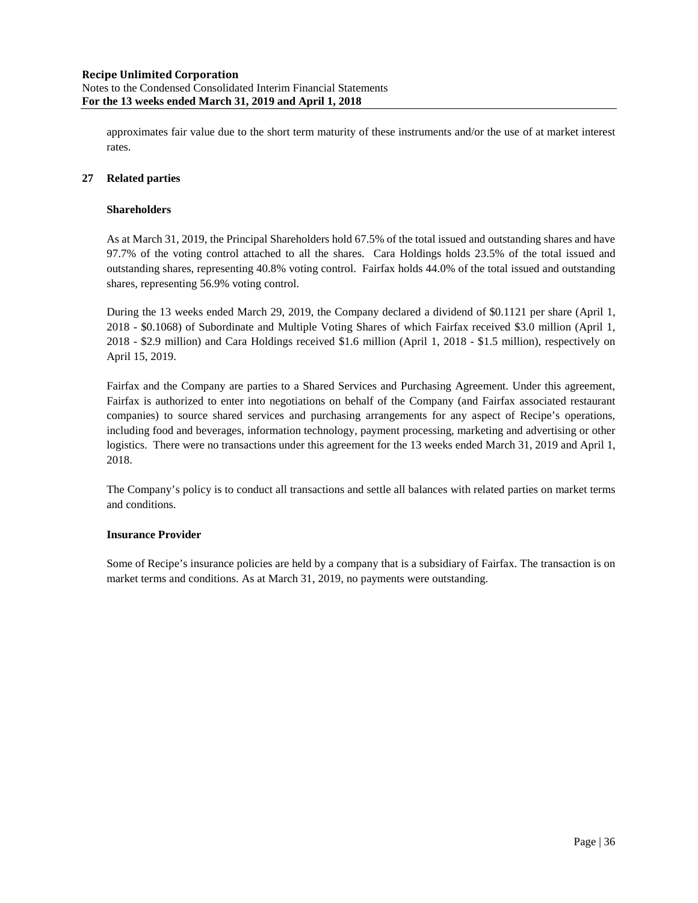approximates fair value due to the short term maturity of these instruments and/or the use of at market interest rates.

## **27 Related parties**

### **Shareholders**

As at March 31, 2019, the Principal Shareholders hold 67.5% of the total issued and outstanding shares and have 97.7% of the voting control attached to all the shares. Cara Holdings holds 23.5% of the total issued and outstanding shares, representing 40.8% voting control. Fairfax holds 44.0% of the total issued and outstanding shares, representing 56.9% voting control.

During the 13 weeks ended March 29, 2019, the Company declared a dividend of \$0.1121 per share (April 1, 2018 - \$0.1068) of Subordinate and Multiple Voting Shares of which Fairfax received \$3.0 million (April 1, 2018 - \$2.9 million) and Cara Holdings received \$1.6 million (April 1, 2018 - \$1.5 million), respectively on April 15, 2019.

Fairfax and the Company are parties to a Shared Services and Purchasing Agreement. Under this agreement, Fairfax is authorized to enter into negotiations on behalf of the Company (and Fairfax associated restaurant companies) to source shared services and purchasing arrangements for any aspect of Recipe's operations, including food and beverages, information technology, payment processing, marketing and advertising or other logistics. There were no transactions under this agreement for the 13 weeks ended March 31, 2019 and April 1, 2018.

The Company's policy is to conduct all transactions and settle all balances with related parties on market terms and conditions.

### **Insurance Provider**

Some of Recipe's insurance policies are held by a company that is a subsidiary of Fairfax. The transaction is on market terms and conditions. As at March 31, 2019, no payments were outstanding.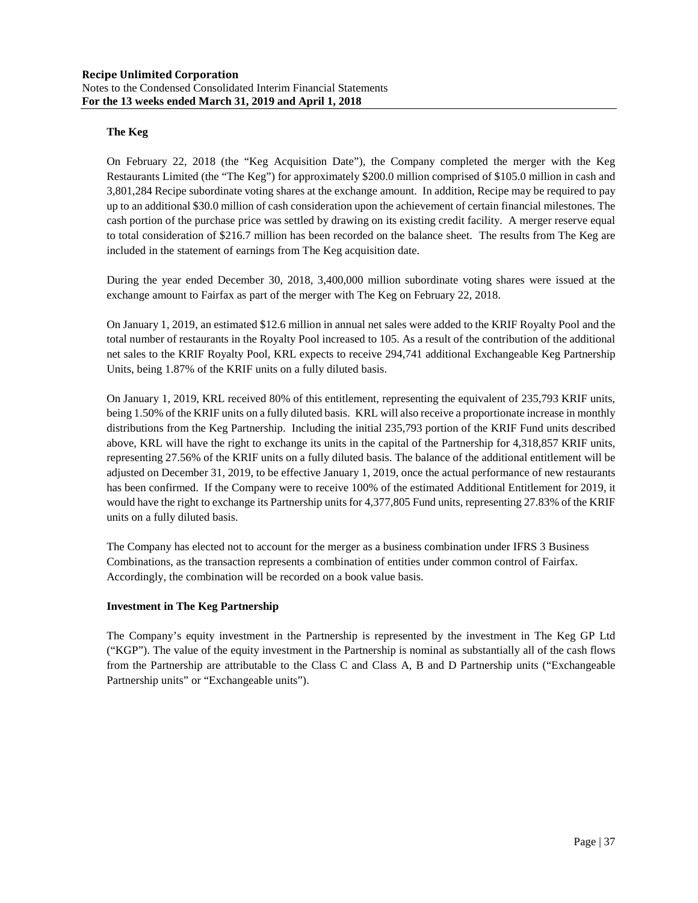## **The Keg**

On February 22, 2018 (the "Keg Acquisition Date"), the Company completed the merger with the Keg Restaurants Limited (the "The Keg") for approximately \$200.0 million comprised of \$105.0 million in cash and 3,801,284 Recipe subordinate voting shares at the exchange amount. In addition, Recipe may be required to pay up to an additional \$30.0 million of cash consideration upon the achievement of certain financial milestones. The cash portion of the purchase price was settled by drawing on its existing credit facility. A merger reserve equal to total consideration of \$216.7 million has been recorded on the balance sheet. The results from The Keg are included in the statement of earnings from The Keg acquisition date.

During the year ended December 30, 2018, 3,400,000 million subordinate voting shares were issued at the exchange amount to Fairfax as part of the merger with The Keg on February 22, 2018.

On January 1, 2019, an estimated \$12.6 million in annual net sales were added to the KRIF Royalty Pool and the total number of restaurants in the Royalty Pool increased to 105. As a result of the contribution of the additional net sales to the KRIF Royalty Pool, KRL expects to receive 294,741 additional Exchangeable Keg Partnership Units, being 1.87% of the KRIF units on a fully diluted basis.

On January 1, 2019, KRL received 80% of this entitlement, representing the equivalent of 235,793 KRIF units, being 1.50% of the KRIF units on a fully diluted basis. KRL will also receive a proportionate increase in monthly distributions from the Keg Partnership. Including the initial 235,793 portion of the KRIF Fund units described above, KRL will have the right to exchange its units in the capital of the Partnership for 4,318,857 KRIF units, representing 27.56% of the KRIF units on a fully diluted basis. The balance of the additional entitlement will be adjusted on December 31, 2019, to be effective January 1, 2019, once the actual performance of new restaurants has been confirmed. If the Company were to receive 100% of the estimated Additional Entitlement for 2019, it would have the right to exchange its Partnership units for 4,377,805 Fund units, representing 27.83% of the KRIF units on a fully diluted basis.

The Company has elected not to account for the merger as a business combination under IFRS 3 Business Combinations, as the transaction represents a combination of entities under common control of Fairfax. Accordingly, the combination will be recorded on a book value basis.

## **Investment in The Keg Partnership**

The Company's equity investment in the Partnership is represented by the investment in The Keg GP Ltd ("KGP"). The value of the equity investment in the Partnership is nominal as substantially all of the cash flows from the Partnership are attributable to the Class C and Class A, B and D Partnership units ("Exchangeable Partnership units" or "Exchangeable units").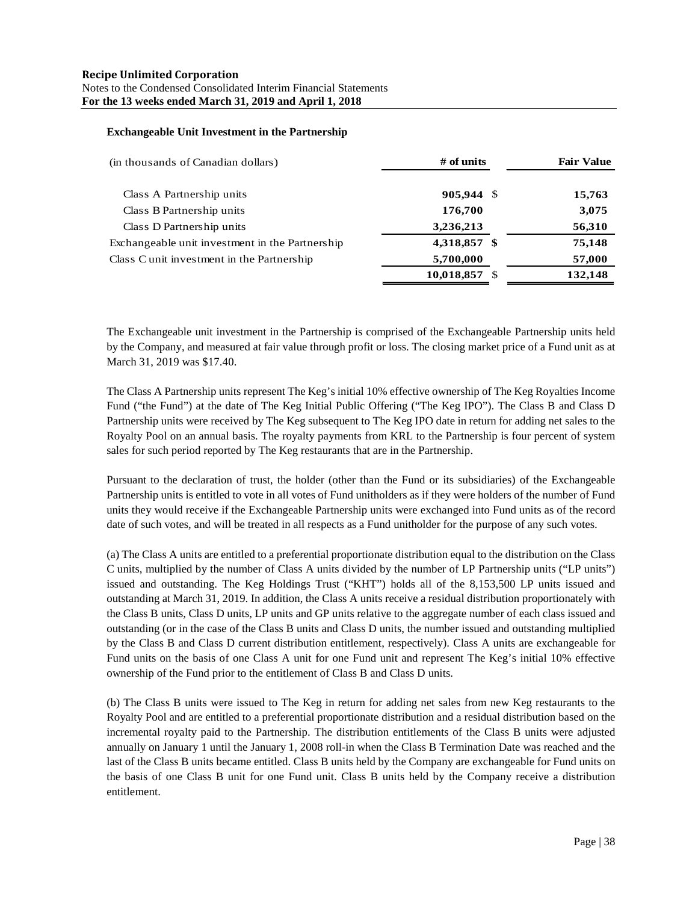## **Exchangeable Unit Investment in the Partnership**

| (in thousands of Canadian dollars)              | $#$ of units  | <b>Fair Value</b> |
|-------------------------------------------------|---------------|-------------------|
| Class A Partnership units                       | 905,944 \$    | 15,763            |
| Class B Partnership units                       | 176,700       | 3,075             |
| Class D Partnership units                       | 3,236,213     | 56,310            |
| Exchangeable unit investment in the Partnership | 4,318,857 \$  | 75,148            |
| Class C unit investment in the Partnership      | 5,700,000     | 57,000            |
|                                                 | 10,018,857 \$ | 132,148           |

The Exchangeable unit investment in the Partnership is comprised of the Exchangeable Partnership units held by the Company, and measured at fair value through profit or loss. The closing market price of a Fund unit as at March 31, 2019 was \$17.40.

The Class A Partnership units represent The Keg's initial 10% effective ownership of The Keg Royalties Income Fund ("the Fund") at the date of The Keg Initial Public Offering ("The Keg IPO"). The Class B and Class D Partnership units were received by The Keg subsequent to The Keg IPO date in return for adding net sales to the Royalty Pool on an annual basis. The royalty payments from KRL to the Partnership is four percent of system sales for such period reported by The Keg restaurants that are in the Partnership.

Pursuant to the declaration of trust, the holder (other than the Fund or its subsidiaries) of the Exchangeable Partnership units is entitled to vote in all votes of Fund unitholders as if they were holders of the number of Fund units they would receive if the Exchangeable Partnership units were exchanged into Fund units as of the record date of such votes, and will be treated in all respects as a Fund unitholder for the purpose of any such votes.

(a) The Class A units are entitled to a preferential proportionate distribution equal to the distribution on the Class C units, multiplied by the number of Class A units divided by the number of LP Partnership units ("LP units") issued and outstanding. The Keg Holdings Trust ("KHT") holds all of the 8,153,500 LP units issued and outstanding at March 31, 2019. In addition, the Class A units receive a residual distribution proportionately with the Class B units, Class D units, LP units and GP units relative to the aggregate number of each class issued and outstanding (or in the case of the Class B units and Class D units, the number issued and outstanding multiplied by the Class B and Class D current distribution entitlement, respectively). Class A units are exchangeable for Fund units on the basis of one Class A unit for one Fund unit and represent The Keg's initial 10% effective ownership of the Fund prior to the entitlement of Class B and Class D units.

(b) The Class B units were issued to The Keg in return for adding net sales from new Keg restaurants to the Royalty Pool and are entitled to a preferential proportionate distribution and a residual distribution based on the incremental royalty paid to the Partnership. The distribution entitlements of the Class B units were adjusted annually on January 1 until the January 1, 2008 roll-in when the Class B Termination Date was reached and the last of the Class B units became entitled. Class B units held by the Company are exchangeable for Fund units on the basis of one Class B unit for one Fund unit. Class B units held by the Company receive a distribution entitlement.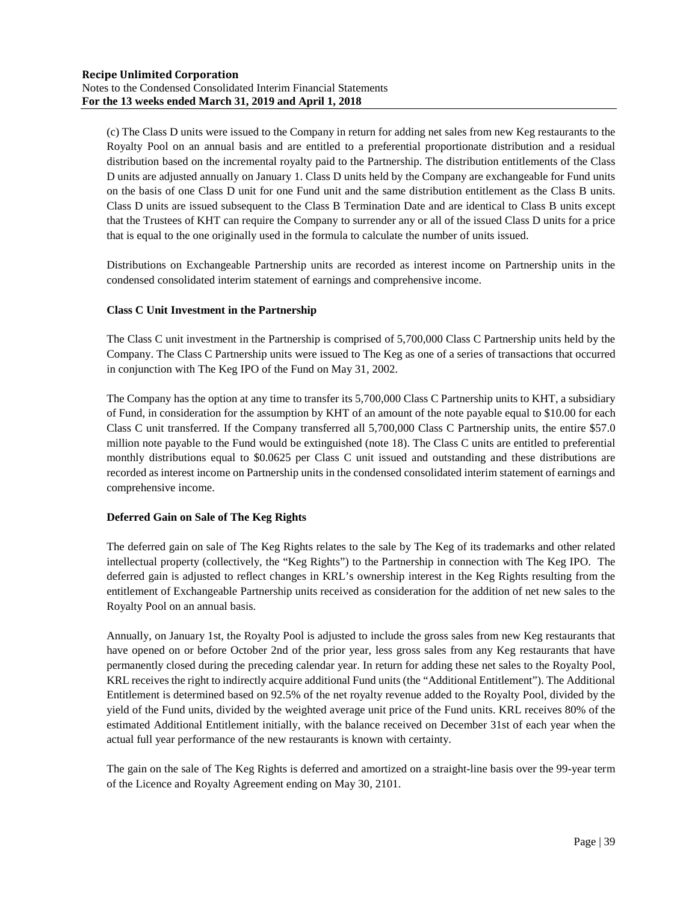(c) The Class D units were issued to the Company in return for adding net sales from new Keg restaurants to the Royalty Pool on an annual basis and are entitled to a preferential proportionate distribution and a residual distribution based on the incremental royalty paid to the Partnership. The distribution entitlements of the Class D units are adjusted annually on January 1. Class D units held by the Company are exchangeable for Fund units on the basis of one Class D unit for one Fund unit and the same distribution entitlement as the Class B units. Class D units are issued subsequent to the Class B Termination Date and are identical to Class B units except that the Trustees of KHT can require the Company to surrender any or all of the issued Class D units for a price that is equal to the one originally used in the formula to calculate the number of units issued.

Distributions on Exchangeable Partnership units are recorded as interest income on Partnership units in the condensed consolidated interim statement of earnings and comprehensive income.

## **Class C Unit Investment in the Partnership**

The Class C unit investment in the Partnership is comprised of 5,700,000 Class C Partnership units held by the Company. The Class C Partnership units were issued to The Keg as one of a series of transactions that occurred in conjunction with The Keg IPO of the Fund on May 31, 2002.

The Company has the option at any time to transfer its 5,700,000 Class C Partnership units to KHT, a subsidiary of Fund, in consideration for the assumption by KHT of an amount of the note payable equal to \$10.00 for each Class C unit transferred. If the Company transferred all 5,700,000 Class C Partnership units, the entire \$57.0 million note payable to the Fund would be extinguished (note 18). The Class C units are entitled to preferential monthly distributions equal to \$0.0625 per Class C unit issued and outstanding and these distributions are recorded as interest income on Partnership units in the condensed consolidated interim statement of earnings and comprehensive income.

## **Deferred Gain on Sale of The Keg Rights**

The deferred gain on sale of The Keg Rights relates to the sale by The Keg of its trademarks and other related intellectual property (collectively, the "Keg Rights") to the Partnership in connection with The Keg IPO. The deferred gain is adjusted to reflect changes in KRL's ownership interest in the Keg Rights resulting from the entitlement of Exchangeable Partnership units received as consideration for the addition of net new sales to the Royalty Pool on an annual basis.

Annually, on January 1st, the Royalty Pool is adjusted to include the gross sales from new Keg restaurants that have opened on or before October 2nd of the prior year, less gross sales from any Keg restaurants that have permanently closed during the preceding calendar year. In return for adding these net sales to the Royalty Pool, KRL receives the right to indirectly acquire additional Fund units (the "Additional Entitlement"). The Additional Entitlement is determined based on 92.5% of the net royalty revenue added to the Royalty Pool, divided by the yield of the Fund units, divided by the weighted average unit price of the Fund units. KRL receives 80% of the estimated Additional Entitlement initially, with the balance received on December 31st of each year when the actual full year performance of the new restaurants is known with certainty.

The gain on the sale of The Keg Rights is deferred and amortized on a straight-line basis over the 99-year term of the Licence and Royalty Agreement ending on May 30, 2101.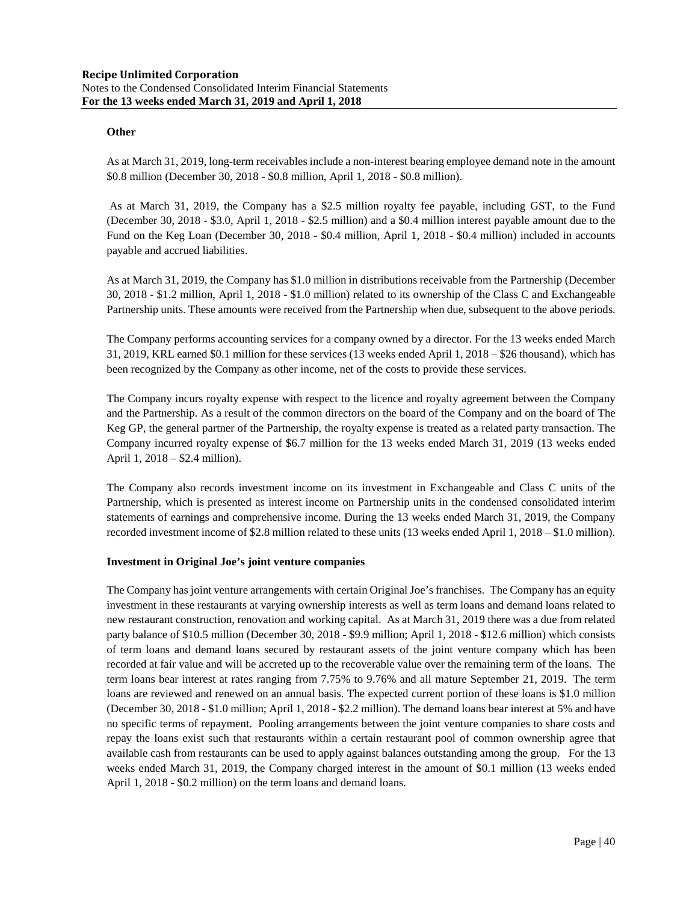## **Other**

As at March 31, 2019, long-term receivables include a non-interest bearing employee demand note in the amount \$0.8 million (December 30, 2018 - \$0.8 million, April 1, 2018 - \$0.8 million).

As at March 31, 2019, the Company has a \$2.5 million royalty fee payable, including GST, to the Fund (December 30, 2018 - \$3.0, April 1, 2018 - \$2.5 million) and a \$0.4 million interest payable amount due to the Fund on the Keg Loan (December 30, 2018 - \$0.4 million, April 1, 2018 - \$0.4 million) included in accounts payable and accrued liabilities.

As at March 31, 2019, the Company has \$1.0 million in distributions receivable from the Partnership (December 30, 2018 - \$1.2 million, April 1, 2018 - \$1.0 million) related to its ownership of the Class C and Exchangeable Partnership units. These amounts were received from the Partnership when due, subsequent to the above periods.

The Company performs accounting services for a company owned by a director. For the 13 weeks ended March 31, 2019, KRL earned \$0.1 million for these services (13 weeks ended April 1, 2018 – \$26 thousand), which has been recognized by the Company as other income, net of the costs to provide these services.

The Company incurs royalty expense with respect to the licence and royalty agreement between the Company and the Partnership. As a result of the common directors on the board of the Company and on the board of The Keg GP, the general partner of the Partnership, the royalty expense is treated as a related party transaction. The Company incurred royalty expense of \$6.7 million for the 13 weeks ended March 31, 2019 (13 weeks ended April 1, 2018 – \$2.4 million).

The Company also records investment income on its investment in Exchangeable and Class C units of the Partnership, which is presented as interest income on Partnership units in the condensed consolidated interim statements of earnings and comprehensive income. During the 13 weeks ended March 31, 2019, the Company recorded investment income of \$2.8 million related to these units (13 weeks ended April 1, 2018 – \$1.0 million).

## **Investment in Original Joe's joint venture companies**

The Company has joint venture arrangements with certain Original Joe's franchises. The Company has an equity investment in these restaurants at varying ownership interests as well as term loans and demand loans related to new restaurant construction, renovation and working capital. As at March 31, 2019 there was a due from related party balance of \$10.5 million (December 30, 2018 - \$9.9 million; April 1, 2018 - \$12.6 million) which consists of term loans and demand loans secured by restaurant assets of the joint venture company which has been recorded at fair value and will be accreted up to the recoverable value over the remaining term of the loans. The term loans bear interest at rates ranging from 7.75% to 9.76% and all mature September 21, 2019. The term loans are reviewed and renewed on an annual basis. The expected current portion of these loans is \$1.0 million (December 30, 2018 - \$1.0 million; April 1, 2018 - \$2.2 million). The demand loans bear interest at 5% and have no specific terms of repayment. Pooling arrangements between the joint venture companies to share costs and repay the loans exist such that restaurants within a certain restaurant pool of common ownership agree that available cash from restaurants can be used to apply against balances outstanding among the group. For the 13 weeks ended March 31, 2019, the Company charged interest in the amount of \$0.1 million (13 weeks ended April 1, 2018 - \$0.2 million) on the term loans and demand loans.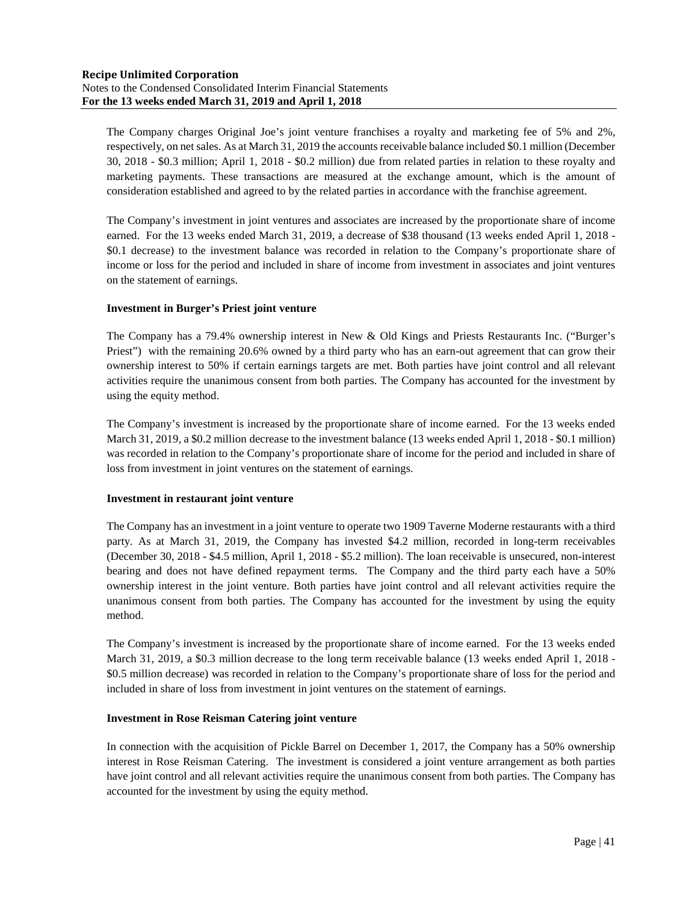The Company charges Original Joe's joint venture franchises a royalty and marketing fee of 5% and 2%, respectively, on net sales. As at March 31, 2019 the accounts receivable balance included \$0.1 million (December 30, 2018 - \$0.3 million; April 1, 2018 - \$0.2 million) due from related parties in relation to these royalty and marketing payments. These transactions are measured at the exchange amount, which is the amount of consideration established and agreed to by the related parties in accordance with the franchise agreement.

The Company's investment in joint ventures and associates are increased by the proportionate share of income earned. For the 13 weeks ended March 31, 2019, a decrease of \$38 thousand (13 weeks ended April 1, 2018 - \$0.1 decrease) to the investment balance was recorded in relation to the Company's proportionate share of income or loss for the period and included in share of income from investment in associates and joint ventures on the statement of earnings.

## **Investment in Burger's Priest joint venture**

The Company has a 79.4% ownership interest in New & Old Kings and Priests Restaurants Inc. ("Burger's Priest") with the remaining 20.6% owned by a third party who has an earn-out agreement that can grow their ownership interest to 50% if certain earnings targets are met. Both parties have joint control and all relevant activities require the unanimous consent from both parties. The Company has accounted for the investment by using the equity method.

The Company's investment is increased by the proportionate share of income earned. For the 13 weeks ended March 31, 2019, a \$0.2 million decrease to the investment balance (13 weeks ended April 1, 2018 - \$0.1 million) was recorded in relation to the Company's proportionate share of income for the period and included in share of loss from investment in joint ventures on the statement of earnings.

## **Investment in restaurant joint venture**

The Company has an investment in a joint venture to operate two 1909 Taverne Moderne restaurants with a third party. As at March 31, 2019, the Company has invested \$4.2 million, recorded in long-term receivables (December 30, 2018 - \$4.5 million, April 1, 2018 - \$5.2 million). The loan receivable is unsecured, non-interest bearing and does not have defined repayment terms. The Company and the third party each have a 50% ownership interest in the joint venture. Both parties have joint control and all relevant activities require the unanimous consent from both parties. The Company has accounted for the investment by using the equity method.

The Company's investment is increased by the proportionate share of income earned. For the 13 weeks ended March 31, 2019, a \$0.3 million decrease to the long term receivable balance (13 weeks ended April 1, 2018 - \$0.5 million decrease) was recorded in relation to the Company's proportionate share of loss for the period and included in share of loss from investment in joint ventures on the statement of earnings.

## **Investment in Rose Reisman Catering joint venture**

In connection with the acquisition of Pickle Barrel on December 1, 2017, the Company has a 50% ownership interest in Rose Reisman Catering. The investment is considered a joint venture arrangement as both parties have joint control and all relevant activities require the unanimous consent from both parties. The Company has accounted for the investment by using the equity method.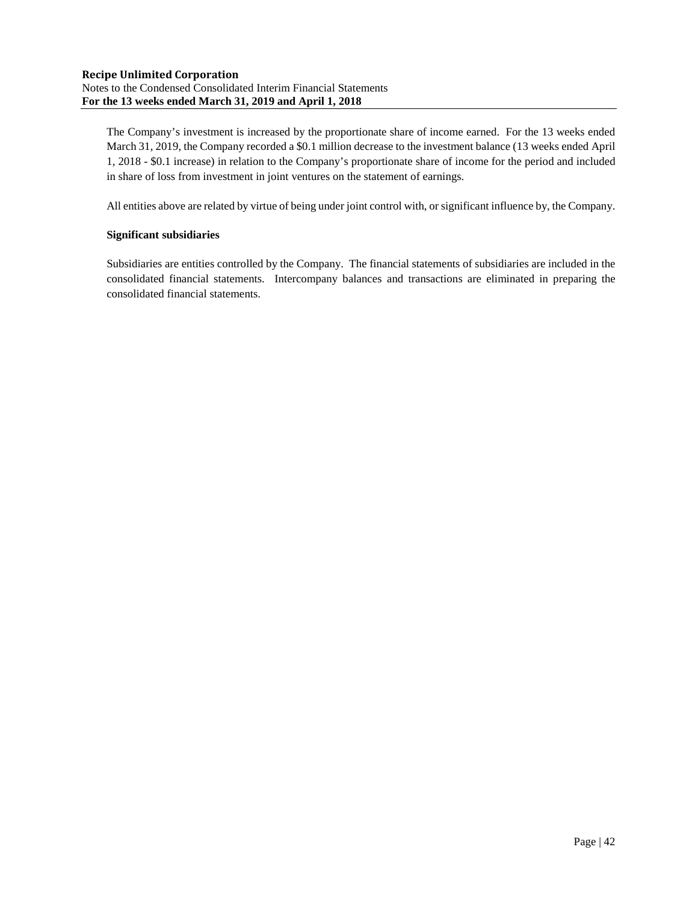The Company's investment is increased by the proportionate share of income earned. For the 13 weeks ended March 31, 2019, the Company recorded a \$0.1 million decrease to the investment balance (13 weeks ended April 1, 2018 - \$0.1 increase) in relation to the Company's proportionate share of income for the period and included in share of loss from investment in joint ventures on the statement of earnings.

All entities above are related by virtue of being under joint control with, or significant influence by, the Company.

## **Significant subsidiaries**

Subsidiaries are entities controlled by the Company. The financial statements of subsidiaries are included in the consolidated financial statements. Intercompany balances and transactions are eliminated in preparing the consolidated financial statements.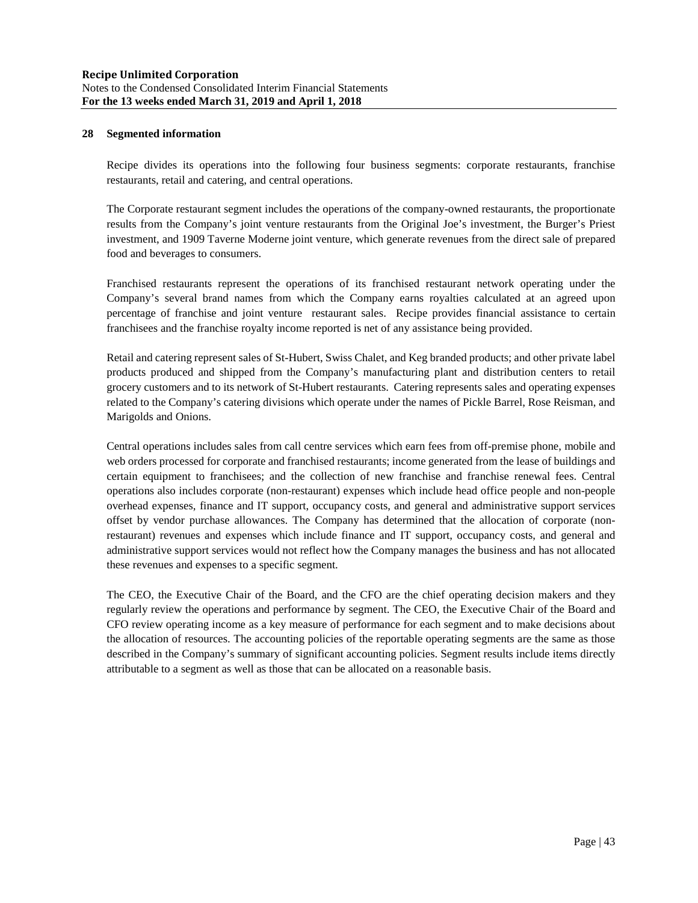#### **28 Segmented information**

Recipe divides its operations into the following four business segments: corporate restaurants, franchise restaurants, retail and catering, and central operations.

The Corporate restaurant segment includes the operations of the company-owned restaurants, the proportionate results from the Company's joint venture restaurants from the Original Joe's investment, the Burger's Priest investment, and 1909 Taverne Moderne joint venture, which generate revenues from the direct sale of prepared food and beverages to consumers.

Franchised restaurants represent the operations of its franchised restaurant network operating under the Company's several brand names from which the Company earns royalties calculated at an agreed upon percentage of franchise and joint venture restaurant sales. Recipe provides financial assistance to certain franchisees and the franchise royalty income reported is net of any assistance being provided.

Retail and catering represent sales of St-Hubert, Swiss Chalet, and Keg branded products; and other private label products produced and shipped from the Company's manufacturing plant and distribution centers to retail grocery customers and to its network of St-Hubert restaurants. Catering represents sales and operating expenses related to the Company's catering divisions which operate under the names of Pickle Barrel, Rose Reisman, and Marigolds and Onions.

Central operations includes sales from call centre services which earn fees from off-premise phone, mobile and web orders processed for corporate and franchised restaurants; income generated from the lease of buildings and certain equipment to franchisees; and the collection of new franchise and franchise renewal fees. Central operations also includes corporate (non-restaurant) expenses which include head office people and non-people overhead expenses, finance and IT support, occupancy costs, and general and administrative support services offset by vendor purchase allowances. The Company has determined that the allocation of corporate (nonrestaurant) revenues and expenses which include finance and IT support, occupancy costs, and general and administrative support services would not reflect how the Company manages the business and has not allocated these revenues and expenses to a specific segment.

The CEO, the Executive Chair of the Board, and the CFO are the chief operating decision makers and they regularly review the operations and performance by segment. The CEO, the Executive Chair of the Board and CFO review operating income as a key measure of performance for each segment and to make decisions about the allocation of resources. The accounting policies of the reportable operating segments are the same as those described in the Company's summary of significant accounting policies. Segment results include items directly attributable to a segment as well as those that can be allocated on a reasonable basis.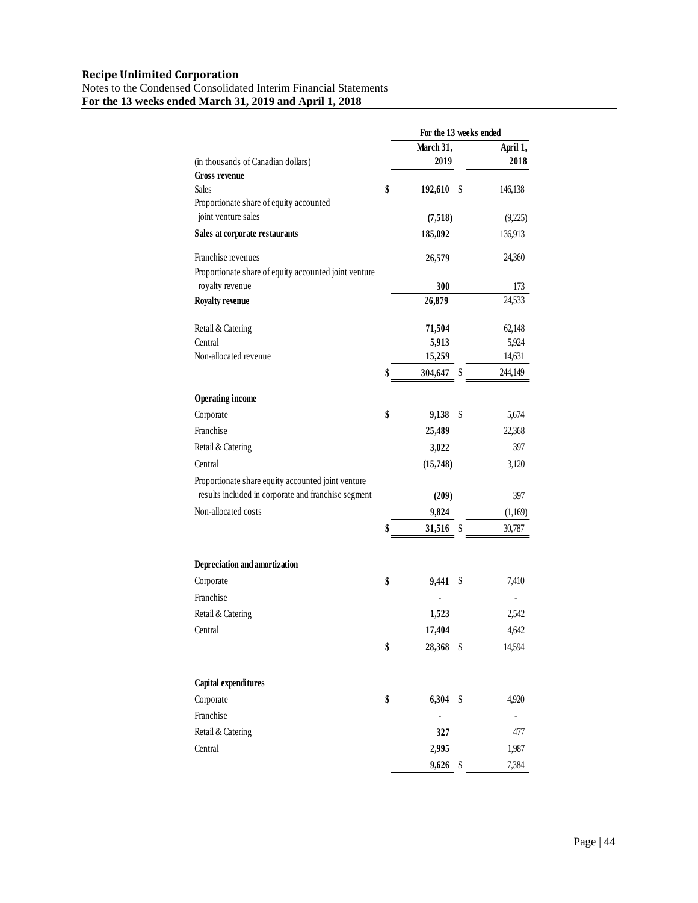|                                                         | For the 13 weeks ended |      |          |
|---------------------------------------------------------|------------------------|------|----------|
|                                                         | March 31,              |      | April 1, |
| (in thousands of Canadian dollars)                      | 2019                   |      | 2018     |
| <b>Gross revenue</b>                                    |                        |      |          |
| <b>Sales</b><br>Proportionate share of equity accounted | \$<br>192,610          | - \$ | 146,138  |
| joint venture sales                                     | (7,518)                |      | (9,225)  |
| Sales at corporate restaurants                          | 185,092                |      | 136,913  |
| Franchise revenues                                      | 26,579                 |      | 24,360   |
| Proportionate share of equity accounted joint venture   |                        |      |          |
| royalty revenue                                         | 300                    |      | 173      |
| <b>Royalty revenue</b>                                  | 26,879                 |      | 24,533   |
| Retail & Catering                                       | 71,504                 |      | 62,148   |
| Central                                                 | 5,913                  |      | 5,924    |
| Non-allocated revenue                                   | 15,259                 |      | 14,631   |
|                                                         | \$<br>304,647          | \$   | 244,149  |
| <b>Operating income</b>                                 |                        |      |          |
| Corporate                                               | \$<br>9,138            | \$   | 5,674    |
| Franchise                                               | 25,489                 |      | 22,368   |
| Retail & Catering                                       | 3,022                  |      | 397      |
| Central                                                 | (15,748)               |      | 3,120    |
| Proportionate share equity accounted joint venture      |                        |      |          |
| results included in corporate and franchise segment     | (209)                  |      | 397      |
| Non-allocated costs                                     | 9,824                  |      | (1,169)  |
|                                                         | \$<br>31,516           | \$   | 30,787   |
| Depreciation and amortization                           |                        |      |          |
| Corporate                                               | \$<br>9,441            | \$   | 7,410    |
| Franchise                                               |                        |      |          |
| Retail & Catering                                       | 1,523                  |      | 2,542    |
| Central                                                 | 17,404                 |      | 4.642    |
|                                                         | \$<br>28,368           | S    | 14,594   |
|                                                         |                        |      |          |
| Capital expenditures                                    |                        |      |          |
| Corporate                                               | \$<br>6,304            | \$   | 4,920    |
| Franchise                                               |                        |      |          |
| Retail & Catering                                       | 327                    |      | 477      |
| Central                                                 | 2,995                  |      | 1,987    |
|                                                         | 9,626                  | \$   | 7,384    |